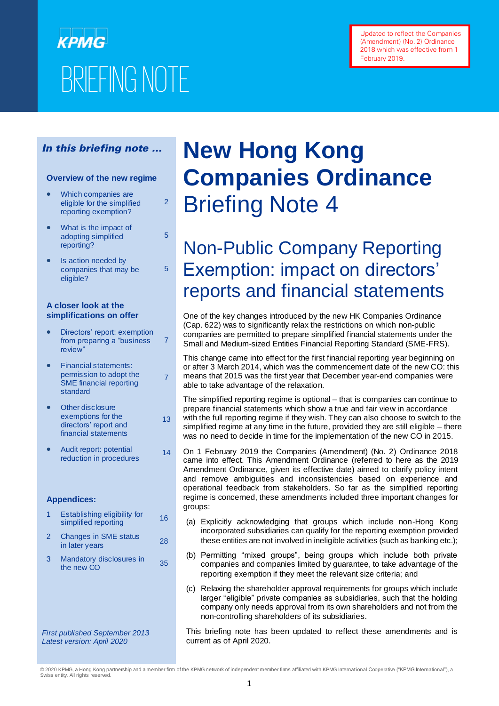# КРМС BRIEFING NOTE **BRIEFING NOTE**

Updated to reflect the Companies (Amendment) (No. 2) Ordinance 2018 which was effective from 1 February 2019.

#### In this briefing note …

#### **Overview of the new regime**

• Which companies are eligible for the simplified reporting exemption?

2

5

5

7

13

 $14$ 

- What is the impact of adopting simplified reporting?
- Is action needed by companies that may be eligible?

#### **A closer look at the simplifications on offer**

- Directors' report: exemption from preparing a "business review"
- Financial statements: permission to adopt the SME financial reporting standard 7
- Other disclosure exemptions for the directors' report and financial statements
- Audit report: potential reduction in procedures

#### **Appendices:**

- 1 Establishing eligibility for Establishing eligibility for the 16
- 2 Changes in SME status Granges in Sivic status 28
- 3 Mandatory disclosures in Mandatory disclosures in 35<br>the new CO

*First published September 2013 Latest version: April 2020*

# **New Hong Kong Companies Ordinance**  Briefing Note 4

# Non-Public Company Reporting Exemption: impact on directors' reports and financial statements

One of the key changes introduced by the new HK Companies Ordinance (Cap. 622) was to significantly relax the restrictions on which non-public companies are permitted to prepare simplified financial statements under the Small and Medium-sized Entities Financial Reporting Standard (SME-FRS).

This change came into effect for the first financial reporting year beginning on or after 3 March 2014, which was the commencement date of the new CO: this means that 2015 was the first year that December year-end companies were able to take advantage of the relaxation.

The simplified reporting regime is optional – that is companies can continue to prepare financial statements which show a true and fair view in accordance with the full reporting regime if they wish. They can also choose to switch to the simplified regime at any time in the future, provided they are still eligible – there was no need to decide in time for the implementation of the new CO in 2015.

- On 1 February 2019 the Companies (Amendment) (No. 2) Ordinance 2018 came into effect. This Amendment Ordinance (referred to here as the 2019 Amendment Ordinance, given its effective date) aimed to clarify policy intent and remove ambiguities and inconsistencies based on experience and operational feedback from stakeholders. So far as the simplified reporting regime is concerned, these amendments included three important changes for groups:
	- (a) Explicitly acknowledging that groups which include non-Hong Kong incorporated subsidiaries can qualify for the reporting exemption provided these entities are not involved in ineligible activities (such as banking etc.);
	- (b) Permitting "mixed groups", being groups which include both private companies and companies limited by guarantee, to take advantage of the reporting exemption if they meet the relevant size criteria; and
	- (c) Relaxing the shareholder approval requirements for groups which include larger "eligible" private companies as subsidiaries, such that the holding company only needs approval from its own shareholders and not from the non-controlling shareholders of its subsidiaries.

This briefing note has been updated to reflect these amendments and is current as of April 2020.

<sup>© 2020</sup> KPMG, a Hong Kong partnership and a member firm of the KPMG network of independent member firms affiliated with KPMG International Cooperative ("KPMG International"), a Swiss entity. All rights reserved.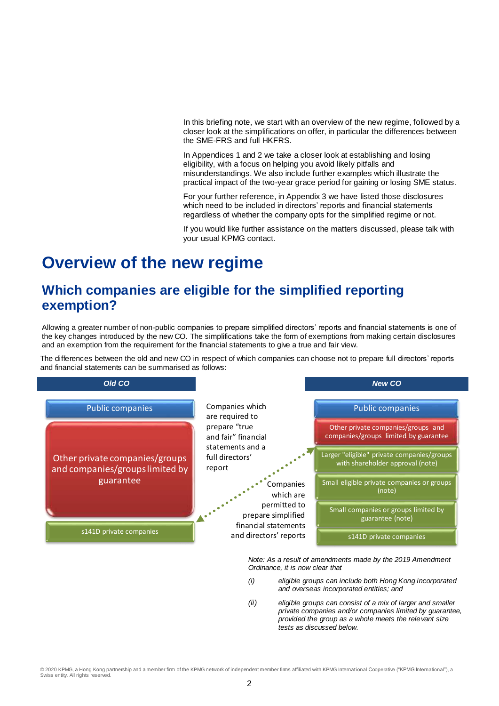In this briefing note, we start with an overview of the new regime, followed by a closer look at the simplifications on offer, in particular the differences between the SME-FRS and full HKFRS.

In Appendices 1 and 2 we take a closer look at establishing and losing eligibility, with a focus on helping you avoid likely pitfalls and misunderstandings. We also include further examples which illustrate the practical impact of the two-year grace period for gaining or losing SME status.

For your further reference, in Appendix 3 we have listed those disclosures which need to be included in directors' reports and financial statements regardless of whether the company opts for the simplified regime or not.

If you would like further assistance on the matters discussed, please talk with your usual KPMG contact.

# **Overview of the new regime**

# **Which companies are eligible for the simplified reporting exemption?**

Allowing a greater number of non-public companies to prepare simplified directors' reports and financial statements is one of the key changes introduced by the new CO. The simplifications take the form of exemptions from making certain disclosures and an exemption from the requirement for the financial statements to give a true and fair view.

The differences between the old and new CO in respect of which companies can choose not to prepare full directors' reports and financial statements can be summarised as follows:



*Note: As a result of amendments made by the 2019 Amendment Ordinance, it is now clear that* 

- *(i) eligible groups can include both Hong Kong incorporated and overseas incorporated entities; and*
- *(ii) eligible groups can consist of a mix of larger and smaller private companies and/or companies limited by guarantee, provided the group as a whole meets the relevant size tests as discussed below.*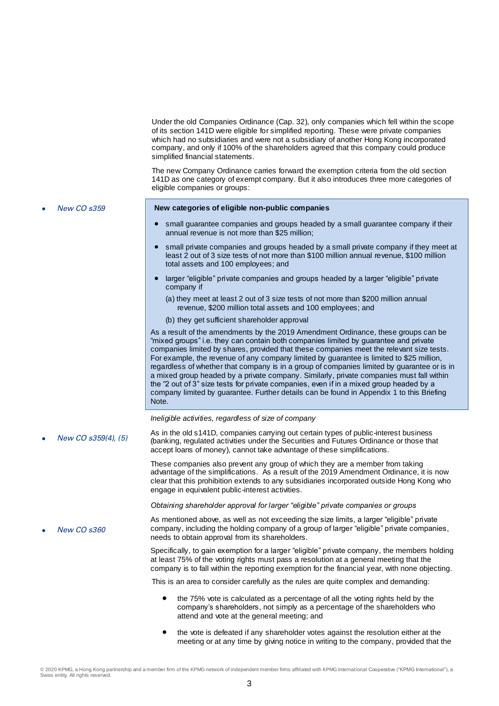Under the old Companies Ordinance (Cap. 32), only companies which fell within the scope of its section 141D were eligible for simplified reporting. These were private companies which had no subsidiaries and were not a subsidiary of another Hong Kong incorporated company, and only if 100% of the shareholders agreed that this company could produce simplified financial statements. The new Company Ordinance carries forward the exemption criteria from the old section 141D as one category of exempt company. But it also introduces three more categories of eligible companies or groups: New CO s359 **New categories of eligible non-public companies** small guarantee companies and groups headed by a small guarantee company if their annual revenue is not more than \$25 million; small private companies and groups headed by a small private company if they meet at least 2 out of 3 size tests of not more than \$100 million annual revenue, \$100 million total assets and 100 employees; and larger "eligible" private companies and groups headed by a larger "eligible" private company if (a) they meet at least 2 out of 3 size tests of not more than \$200 million annual revenue, \$200 million total assets and 100 employees; and (b) they get sufficient shareholder approval As a result of the amendments by the 2019 Amendment Ordinance, these groups can be "mixed groups" i.e. they can contain both companies limited by guarantee and private companies limited by shares, provided that these companies meet the relevant size tests. For example, the revenue of any company limited by guarantee is limited to \$25 million, regardless of whether that company is in a group of companies limited by guarantee or is in a mixed group headed by a private company. Similarly, private companies must fall within the "2 out of 3" size tests for private companies, even if in a mixed group headed by a company limited by guarantee. Further details can be found in Appendix 1 to this Briefing Note. *Ineligible activities, regardless of size of company* As in the old s141D, companies carrying out certain types of public-interest business<br>New CO s359(4), (5) (bonking regulated ortigins under the Securities and Eutures Ordinance or these that (banking, regulated activities under the Securities and Futures Ordinance or those that accept loans of money), cannot take advantage of these simplifications. These companies also prevent any group of which they are a member from taking advantage of the simplifications. As a result of the 2019 Amendment Ordinance, it is now clear that this prohibition extends to any subsidiaries incorporated outside Hong Kong who engage in equivalent public-interest activities. *Obtaining shareholder approval for larger "eligible" private companies or groups* New CO s360 As mentioned above, as well as not exceeding the size limits, a larger "eligible" private company, including the holding company of a group of larger "eligible" private companies, needs to obtain approval from its shareholders. Specifically, to gain exemption for a larger "eligible" private company, the members holding at least 75% of the voting rights must pass a resolution at a general meeting that the company is to fall within the reporting exemption for the financial year, with none objecting. This is an area to consider carefully as the rules are quite complex and demanding: the 75% vote is calculated as a percentage of all the voting rights held by the company's shareholders, not simply as a percentage of the shareholders who attend and vote at the general meeting; and

 the vote is defeated if any shareholder votes against the resolution either at the meeting or at any time by giving notice in writing to the company, provided that the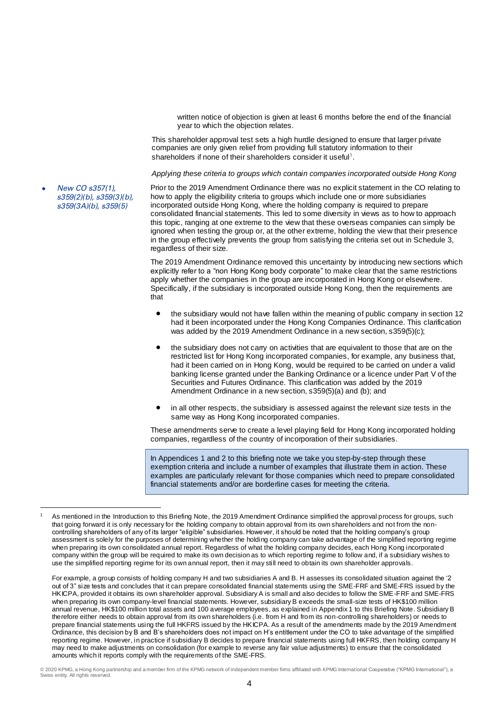written notice of objection is given at least 6 months before the end of the financial year to which the objection relates.

This shareholder approval test sets a high hurdle designed to ensure that larger private companies are only given relief from providing full statutory information to their shareholders if none of their shareholders consider it useful<sup>1</sup>.

*Applying these criteria to groups which contain companies incorporated outside Hong Kong*

 New CO s357(1), s359(2)(b), s359(3)(b), s359(3A)(b), s359(5)

Prior to the 2019 Amendment Ordinance there was no explicit statement in the CO relating to how to apply the eligibility criteria to groups which include one or more subsidiaries incorporated outside Hong Kong, where the holding company is required to prepare consolidated financial statements. This led to some diversity in views as to how to approach this topic, ranging at one extreme to the view that these overseas companies can simply be ignored when testing the group or, at the other extreme, holding the view that their presence in the group effectively prevents the group from satisfying the criteria set out in Schedule 3, regardless of their size.

The 2019 Amendment Ordinance removed this uncertainty by introducing new sections which explicitly refer to a "non Hong Kong body corporate" to make clear that the same restrictions apply whether the companies in the group are incorporated in Hong Kong or elsewhere. Specifically, if the subsidiary is incorporated outside Hong Kong, then the requirements are that

- the subsidiary would not have fallen within the meaning of public company in section 12 had it been incorporated under the Hong Kong Companies Ordinance. This clarification was added by the 2019 Amendment Ordinance in a new section, s359(5)(c);
- the subsidiary does not carry on activities that are equivalent to those that are on the restricted list for Hong Kong incorporated companies, for example, any business that, had it been carried on in Hong Kong, would be required to be carried on under a valid banking license granted under the Banking Ordinance or a licence under Part V of the Securities and Futures Ordinance. This clarification was added by the 2019 Amendment Ordinance in a new section, s359(5)(a) and (b); and
- in all other respects, the subsidiary is assessed against the relevant size tests in the same way as Hong Kong incorporated companies.

These amendments serve to create a level playing field for Hong Kong incorporated holding companies, regardless of the country of incorporation of their subsidiaries.

In Appendices 1 and 2 to this briefing note we take you step-by-step through these exemption criteria and include a number of examples that illustrate them in action. These examples are particularly relevant for those companies which need to prepare consolidated financial statements and/or are borderline cases for meeting the criteria.

For example, a group consists of holding company H and two subsidiaries A and B. H assesses its consolidated situation against the '2 out of 3" size tests and concludes that it can prepare consolidated financial statements using the SME-FRF and SME-FRS issued by the HKICPA, provided it obtains its own shareholder approval. Subsidiary A is small and also decides to follow the SME-FRF and SME-FRS when preparing its own company-level financial statements. However, subsidiary B exceeds the small-size tests of HK\$100 million annual revenue, HK\$100 million total assets and 100 average employees, as explained in Appendix 1 to this Briefing Note. Subsidiary B therefore either needs to obtain approval from its own shareholders (i.e. from H and from its non-controlling shareholders) or needs to prepare financial statements using the full HKFRS issued by the HKICPA. As a result of the amendments made by the 2019 Amendment Ordinance, this decision by B and B's shareholders does not impact on H's entitlement under the CO to take advantage of the simplified reporting regime. However, in practice if subsidiary B decides to prepare financial statements using full HKFRS, then holding company H may need to make adjustments on consolidation (for example to reverse any fair value adjustments) to ensure that the consolidated amounts which it reports comply with the requirements of the SME-FRS.

 $\overline{a}$ As mentioned in the Introduction to this Briefing Note, the 2019 Amendment Ordinance simplified the approval process for groups, such that going forward it is only necessary for the holding company to obtain approval from its own shareholders and not from the noncontrolling shareholders of any of its larger "eligible" subsidiaries. However, it should be noted that the holding company's group assessment is solely for the purposes of determining whether the holding company can take advantage of the simplified reporting regime when preparing its own consolidated annual report. Regardless of what the holding company decides, each Hong Kong incorporated company within the group will be required to make its own decision as to which reporting regime to follow and, if a subsidiary wishes to use the simplified reporting regime for its own annual report, then it may still need to obtain its own shareholder approvals.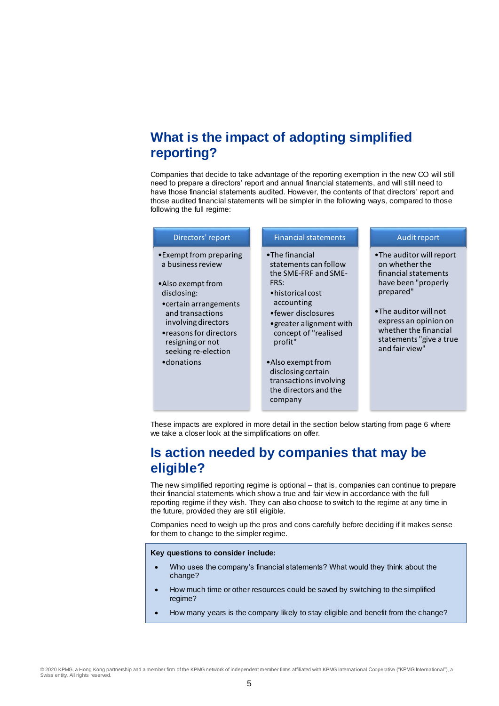# **What is the impact of adopting simplified reporting?**

Companies that decide to take advantage of the reporting exemption in the new CO will still need to prepare a directors' report and annual financial statements, and will still need to have those financial statements audited. However, the contents of that directors' report and those audited financial statements will be simpler in the following ways, compared to those following the full regime:

| Directors' report                                                                                                                       | <b>Financial statements</b>                                                                           | Audit report                                                                                                         |
|-----------------------------------------------------------------------------------------------------------------------------------------|-------------------------------------------------------------------------------------------------------|----------------------------------------------------------------------------------------------------------------------|
| • Exempt from preparing<br>a business review<br>•Also exempt from<br>disclosing:                                                        | •The financial<br>statements can follow<br>the SME-FRF and SME-<br>FRS:<br>• historical cost          | •The auditor will report<br>on whether the<br>financial statements<br>have been "properly<br>prepared"               |
| • certain arrangements<br>and transactions<br>involving directors<br>• reasons for directors<br>resigning or not<br>seeking re-election | accounting<br>• fewer disclosures<br>• greater alignment with<br>concept of "realised<br>profit"      | •The auditor will not<br>express an opinion on<br>whether the financial<br>statements "give a true<br>and fair view" |
| •donations                                                                                                                              | •Also exempt from<br>disclosing certain<br>transactions involving<br>the directors and the<br>company |                                                                                                                      |

These impacts are explored in more detail in the section below starting from page 6 where we take a closer look at the simplifications on offer.

## **Is action needed by companies that may be eligible?**

The new simplified reporting regime is optional – that is, companies can continue to prepare their financial statements which show a true and fair view in accordance with the full reporting regime if they wish. They can also choose to switch to the regime at any time in the future, provided they are still eligible.

Companies need to weigh up the pros and cons carefully before deciding if it makes sense for them to change to the simpler regime.

#### **Key questions to consider include:**

- Who uses the company's financial statements? What would they think about the change?
- How much time or other resources could be saved by switching to the simplified regime?
- How many years is the company likely to stay eligible and benefit from the change?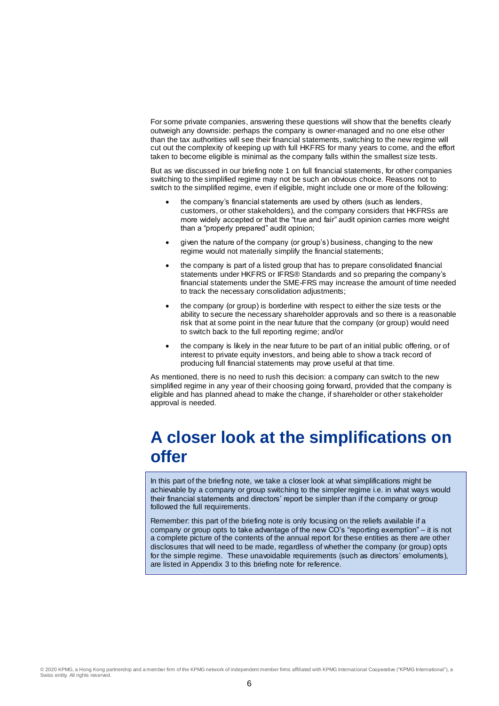For some private companies, answering these questions will show that the benefits clearly outweigh any downside: perhaps the company is owner-managed and no one else other than the tax authorities will see their financial statements, switching to the new regime will cut out the complexity of keeping up with full HKFRS for many years to come, and the effort taken to become eligible is minimal as the company falls within the smallest size tests.

But as we discussed in our briefing note 1 on full financial statements, for other companies switching to the simplified regime may not be such an obvious choice. Reasons not to switch to the simplified regime, even if eligible, might include one or more of the following:

- the company's financial statements are used by others (such as lenders, customers, or other stakeholders), and the company considers that HKFRSs are more widely accepted or that the "true and fair" audit opinion carries more weight than a "properly prepared" audit opinion;
- given the nature of the company (or group's) business, changing to the new regime would not materially simplify the financial statements;
- the company is part of a listed group that has to prepare consolidated financial statements under HKFRS or IFRS® Standards and so preparing the company's financial statements under the SME-FRS may increase the amount of time needed to track the necessary consolidation adjustments;
- the company (or group) is borderline with respect to either the size tests or the ability to secure the necessary shareholder approvals and so there is a reasonable risk that at some point in the near future that the company (or group) would need to switch back to the full reporting regime; and/or
- the company is likely in the near future to be part of an initial public offering, or of interest to private equity investors, and being able to show a track record of producing full financial statements may prove useful at that time.

As mentioned, there is no need to rush this decision: a company can switch to the new simplified regime in any year of their choosing going forward, provided that the company is eligible and has planned ahead to make the change, if shareholder or other stakeholder approval is needed.

# **A closer look at the simplifications on offer**

In this part of the briefing note, we take a closer look at what simplifications might be achievable by a company or group switching to the simpler regime i.e. in what ways would their financial statements and directors' report be simpler than if the company or group followed the full requirements.

Remember: this part of the briefing note is only focusing on the reliefs available if a company or group opts to take advantage of the new CO's "reporting exemption" – it is not a complete picture of the contents of the annual report for these entities as there are other disclosures that will need to be made, regardless of whether the company (or group) opts for the simple regime. These unavoidable requirements (such as directors' emoluments), are listed in Appendix 3 to this briefing note for reference.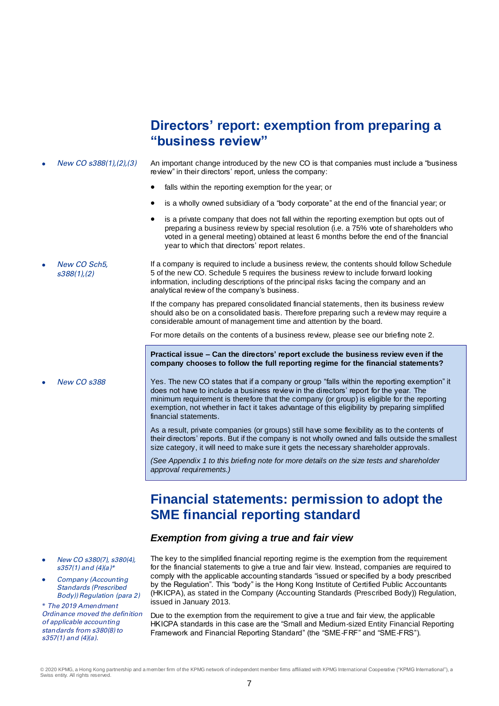# **Directors' report: exemption from preparing a "business review"**

- New CO s388(1),(2),(3) An important change introduced by the new CO is that companies must include a "business review" in their directors' report, unless the company:
	- falls within the reporting exemption for the year; or
	- is a wholly owned subsidiary of a "body corporate" at the end of the financial year; or
	- is a private company that does not fall within the reporting exemption but opts out of preparing a business review by special resolution (i.e. a 75% vote of shareholders who voted in a general meeting) obtained at least 6 months before the end of the financial year to which that directors' report relates.
- New CO Sch5, s388(1),(2) If a company is required to include a business review, the contents should follow Schedule 5 of the new CO. Schedule 5 requires the business review to include forward looking information, including descriptions of the principal risks facing the company and an analytical review of the company's business.

If the company has prepared consolidated financial statements, then its business review should also be on a consolidated basis. Therefore preparing such a review may require a considerable amount of management time and attention by the board.

For more details on the contents of a business review, please see our briefing note 2.

**Practical issue – Can the directors' report exclude the business review even if the company chooses to follow the full reporting regime for the financial statements?**

New CO s388 Yes. The new CO states that if a company or group "falls within the reporting exemption" it does not have to include a business review in the directors' report for the year. The minimum requirement is therefore that the company (or group) is eligible for the reporting exemption, not whether in fact it takes advantage of this eligibility by preparing simplified financial statements.

> As a result, private companies (or groups) still have some flexibility as to the contents of their directors' reports. But if the company is not wholly owned and falls outside the smallest size category, it will need to make sure it gets the necessary shareholder approvals.

*(See Appendix 1 to this briefing note for more details on the size tests and shareholder approval requirements.)*

# **Financial statements: permission to adopt the SME financial reporting standard**

#### *Exemption from giving a true and fair view*

- New CO s380(7), s380(4), s357(1) and (4)(a)\*
- Company (Accounting Standards (Prescribed Body)) Regulation (para 2)

\* The 2019 Amendment Ordinance moved the definition  $of$  applicable accounting standards from s380(8) to s357(1) and (4)(a).

The key to the simplified financial reporting regime is the exemption from the requirement for the financial statements to give a true and fair view. Instead, companies are required to comply with the applicable accounting standards "issued or specified by a body prescribed by the Regulation". This "body" is the Hong Kong Institute of Certified Public Accountants (HKICPA), as stated in the Company (Accounting Standards (Prescribed Body)) Regulation, issued in January 2013.

Due to the exemption from the requirement to give a true and fair view, the applicable HKICPA standards in this case are the "Small and Medium-sized Entity Financial Reporting Framework and Financial Reporting Standard" (the "SME-FRF" and "SME-FRS").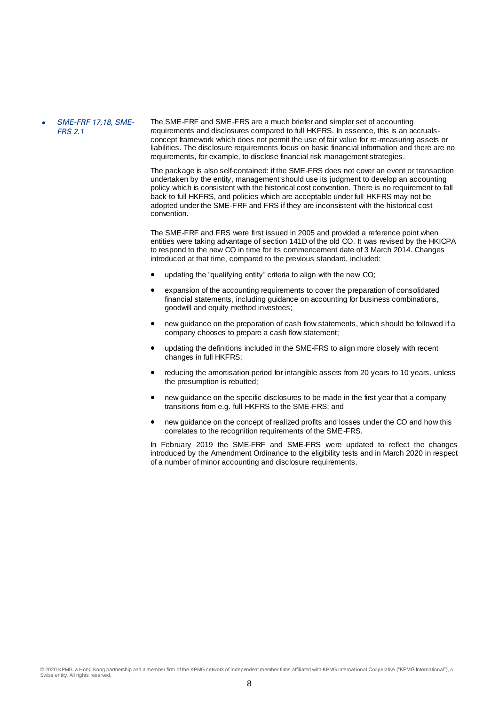#### SME-FRF 17,18, SME-FRS 2.1

The SME-FRF and SME-FRS are a much briefer and simpler set of accounting requirements and disclosures compared to full HKFRS. In essence, this is an accrualsconcept framework which does not permit the use of fair value for re-measuring assets or liabilities. The disclosure requirements focus on basic financial information and there are no requirements, for example, to disclose financial risk management strategies.

The package is also self-contained: if the SME-FRS does not cover an event or transaction undertaken by the entity, management should use its judgment to develop an accounting policy which is consistent with the historical cost convention. There is no requirement to fall back to full HKFRS, and policies which are acceptable under full HKFRS may not be adopted under the SME-FRF and FRS if they are inconsistent with the historical cost convention.

The SME-FRF and FRS were first issued in 2005 and provided a reference point when entities were taking advantage of section 141D of the old CO. It was revised by the HKICPA to respond to the new CO in time for its commencement date of 3 March 2014. Changes introduced at that time, compared to the previous standard, included:

- updating the "qualifying entity" criteria to align with the new CO;
- expansion of the accounting requirements to cover the preparation of consolidated financial statements, including guidance on accounting for business combinations, goodwill and equity method investees;
- new guidance on the preparation of cash flow statements, which should be followed if a company chooses to prepare a cash flow statement;
- updating the definitions included in the SME-FRS to align more closely with recent changes in full HKFRS;
- reducing the amortisation period for intangible assets from 20 years to 10 years, unless the presumption is rebutted;
- new guidance on the specific disclosures to be made in the first year that a company transitions from e.g. full HKFRS to the SME-FRS; and
- new guidance on the concept of realized profits and losses under the CO and how this correlates to the recognition requirements of the SME-FRS.

In February 2019 the SME-FRF and SME-FRS were updated to reflect the changes introduced by the Amendment Ordinance to the eligibility tests and in March 2020 in respect of a number of minor accounting and disclosure requirements.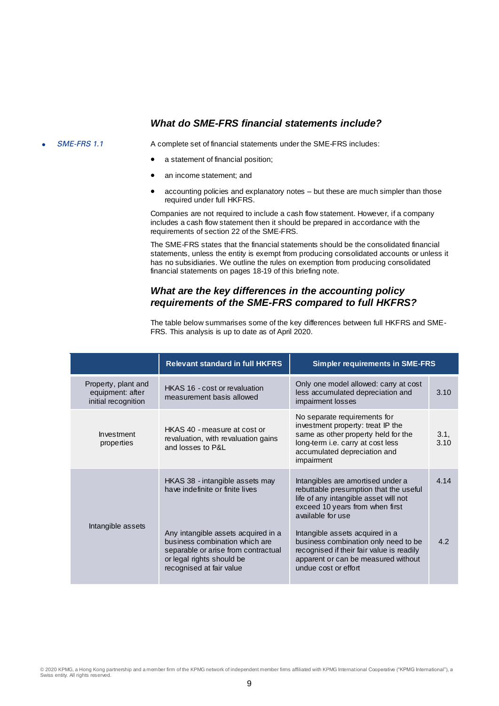#### *What do SME-FRS financial statements include?*

SME-FRS 1.1 A complete set of financial statements under the SME-FRS includes:

- a statement of financial position;
- an income statement; and
- accounting policies and explanatory notes but these are much simpler than those required under full HKFRS.

Companies are not required to include a cash flow statement. However, if a company includes a cash flow statement then it should be prepared in accordance with the requirements of section 22 of the SME-FRS.

The SME-FRS states that the financial statements should be the consolidated financial statements, unless the entity is exempt from producing consolidated accounts or unless it has no subsidiaries. We outline the rules on exemption from producing consolidated financial statements on pages 18-19 of this briefing note.

## *What are the key differences in the accounting policy requirements of the SME-FRS compared to full HKFRS?*

The table below summarises some of the key differences between full HKFRS and SME-FRS. This analysis is up to date as of April 2020.

|                                                                | <b>Relevant standard in full HKFRS</b>                                                                                                                                             | <b>Simpler requirements in SME-FRS</b>                                                                                                                                                                                                                                                               |              |
|----------------------------------------------------------------|------------------------------------------------------------------------------------------------------------------------------------------------------------------------------------|------------------------------------------------------------------------------------------------------------------------------------------------------------------------------------------------------------------------------------------------------------------------------------------------------|--------------|
| Property, plant and<br>equipment: after<br>initial recognition | HKAS 16 - cost or revaluation<br>measurement basis allowed                                                                                                                         | Only one model allowed: carry at cost<br>less accumulated depreciation and<br>impairment losses                                                                                                                                                                                                      | 3.10         |
| Investment<br>properties                                       | HKAS 40 - measure at cost or<br>revaluation, with revaluation gains<br>and losses to P&L                                                                                           | No separate requirements for<br>investment property: treat IP the<br>same as other property held for the<br>long-term i.e. carry at cost less<br>accumulated depreciation and<br>impairment                                                                                                          | 3.1,<br>3.10 |
| Intangible assets                                              | HKAS 38 - intangible assets may<br>have indefinite or finite lives<br>Any intangible assets acquired in a<br>business combination which are<br>separable or arise from contractual | Intangibles are amortised under a<br>rebuttable presumption that the useful<br>life of any intangible asset will not<br>exceed 10 years from when first<br>available for use<br>Intangible assets acquired in a<br>business combination only need to be<br>recognised if their fair value is readily | 4.14<br>4.2  |
|                                                                | or legal rights should be<br>recognised at fair value                                                                                                                              | apparent or can be measured without<br>undue cost or effort                                                                                                                                                                                                                                          |              |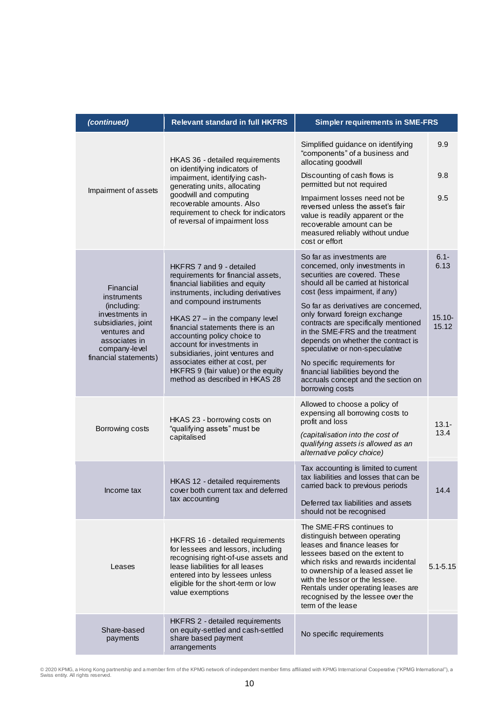| (continued)                                                                                                                                          | <b>Relevant standard in full HKFRS</b>                                                                                                                                                                                                        | <b>Simpler requirements in SME-FRS</b>                                                                                                                                                                                                                                                                                                     |                              |
|------------------------------------------------------------------------------------------------------------------------------------------------------|-----------------------------------------------------------------------------------------------------------------------------------------------------------------------------------------------------------------------------------------------|--------------------------------------------------------------------------------------------------------------------------------------------------------------------------------------------------------------------------------------------------------------------------------------------------------------------------------------------|------------------------------|
|                                                                                                                                                      | HKAS 36 - detailed requirements                                                                                                                                                                                                               | Simplified guidance on identifying<br>"components" of a business and<br>allocating goodwill                                                                                                                                                                                                                                                | 9.9                          |
|                                                                                                                                                      | on identifying indicators of<br>impairment, identifying cash-<br>generating units, allocating                                                                                                                                                 | Discounting of cash flows is<br>permitted but not required                                                                                                                                                                                                                                                                                 | 9.8                          |
| Impairment of assets<br>goodwill and computing<br>recoverable amounts. Also<br>requirement to check for indicators<br>of reversal of impairment loss |                                                                                                                                                                                                                                               | Impairment losses need not be<br>reversed unless the asset's fair<br>value is readily apparent or the<br>recoverable amount can be<br>measured reliably without undue<br>cost or effort                                                                                                                                                    | 9.5                          |
| Financial<br>instruments<br>(including:<br>investments in                                                                                            | HKFRS 7 and 9 - detailed<br>requirements for financial assets,<br>financial liabilities and equity<br>instruments, including derivatives<br>and compound instruments<br>$HKAS$ 27 $-$ in the company level                                    | So far as investments are<br>concerned, only investments in<br>securities are covered. These<br>should all be carried at historical<br>cost (less impairment, if any)<br>So far as derivatives are concerned,<br>only forward foreign exchange                                                                                             | $6.1 -$<br>6.13<br>$15.10 -$ |
| subsidiaries, joint<br>ventures and<br>associates in<br>company-level                                                                                | financial statements there is an<br>accounting policy choice to<br>account for investments in<br>subsidiaries, joint ventures and                                                                                                             | contracts are specifically mentioned<br>in the SME-FRS and the treatment<br>depends on whether the contract is<br>speculative or non-speculative                                                                                                                                                                                           | 15.12                        |
| financial statements)                                                                                                                                | associates either at cost, per<br>HKFRS 9 (fair value) or the equity<br>method as described in HKAS 28                                                                                                                                        | No specific requirements for<br>financial liabilities beyond the<br>accruals concept and the section on<br>borrowing costs                                                                                                                                                                                                                 |                              |
| Borrowing costs                                                                                                                                      | HKAS 23 - borrowing costs on<br>"qualifying assets" must be                                                                                                                                                                                   | Allowed to choose a policy of<br>expensing all borrowing costs to<br>profit and loss                                                                                                                                                                                                                                                       | $13.1 -$                     |
|                                                                                                                                                      | capitalised                                                                                                                                                                                                                                   | (capitalisation into the cost of<br>qualifying assets is allowed as an<br>alternative policy choice)                                                                                                                                                                                                                                       | 13.4                         |
| Income tax                                                                                                                                           | HKAS 12 - detailed requirements<br>cover both current tax and deferred                                                                                                                                                                        | Tax accounting is limited to current<br>tax liabilities and losses that can be<br>carried back to previous periods                                                                                                                                                                                                                         | 14.4                         |
|                                                                                                                                                      | tax accounting                                                                                                                                                                                                                                | Deferred tax liabilities and assets<br>should not be recognised                                                                                                                                                                                                                                                                            |                              |
| Leases                                                                                                                                               | HKFRS 16 - detailed requirements<br>for lessees and lessors, including<br>recognising right-of-use assets and<br>lease liabilities for all leases<br>entered into by lessees unless<br>eligible for the short-term or low<br>value exemptions | The SME-FRS continues to<br>distinguish between operating<br>leases and finance leases for<br>lessees based on the extent to<br>which risks and rewards incidental<br>to ownership of a leased asset lie<br>with the lessor or the lessee.<br>Rentals under operating leases are<br>recognised by the lessee over the<br>term of the lease | $5.1 - 5.15$                 |
| Share-based<br>payments                                                                                                                              | HKFRS 2 - detailed requirements<br>on equity-settled and cash-settled<br>share based payment<br>arrangements                                                                                                                                  | No specific requirements                                                                                                                                                                                                                                                                                                                   |                              |

© 2020 KPMG, a Hong Kong partnership and a member firm of the KPMG network of independent member firms affiliated with KPMG International Cooperative ("KPMG International"), a<br>Swiss entity. All rights reserved.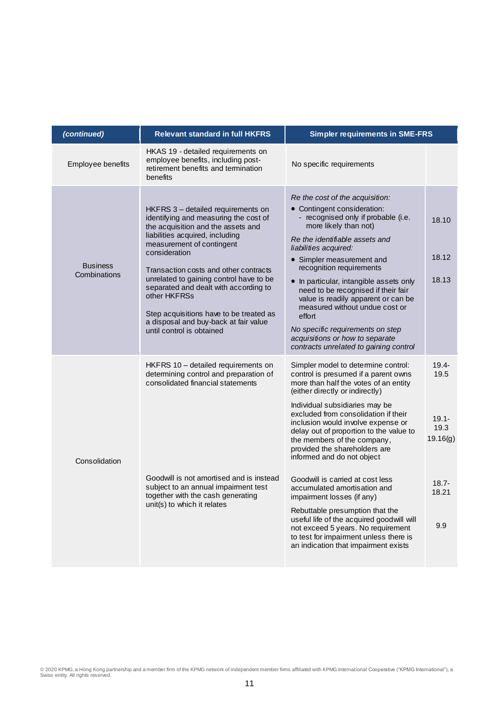| (continued)                     | <b>Relevant standard in full HKFRS</b>                                                                                                                                                                                                                                                                                                                                                                                                                           | <b>Simpler requirements in SME-FRS</b>                                                                                                                                                                                                                                                                                                                                                                                                                                                                                                   |                                                  |
|---------------------------------|------------------------------------------------------------------------------------------------------------------------------------------------------------------------------------------------------------------------------------------------------------------------------------------------------------------------------------------------------------------------------------------------------------------------------------------------------------------|------------------------------------------------------------------------------------------------------------------------------------------------------------------------------------------------------------------------------------------------------------------------------------------------------------------------------------------------------------------------------------------------------------------------------------------------------------------------------------------------------------------------------------------|--------------------------------------------------|
| Employee benefits               | HKAS 19 - detailed requirements on<br>employee benefits, including post-<br>retirement benefits and termination<br>benefits                                                                                                                                                                                                                                                                                                                                      | No specific requirements                                                                                                                                                                                                                                                                                                                                                                                                                                                                                                                 |                                                  |
| <b>Business</b><br>Combinations | HKFRS 3 - detailed requirements on<br>identifying and measuring the cost of<br>the acquisition and the assets and<br>liabilities acquired, including<br>measurement of contingent<br>consideration<br>Transaction costs and other contracts<br>unrelated to gaining control have to be<br>separated and dealt with according to<br>other HKFRSs<br>Step acquisitions have to be treated as<br>a disposal and buy-back at fair value<br>until control is obtained | Re the cost of the acquisition:<br>• Contingent consideration:<br>- recognised only if probable (i.e.<br>more likely than not)<br>Re the identifiable assets and<br>liabilities acquired:<br>• Simpler measurement and<br>recognition requirements<br>• In particular, intangible assets only<br>need to be recognised if their fair<br>value is readily apparent or can be<br>measured without undue cost or<br>effort<br>No specific requirements on step<br>acquisitions or how to separate<br>contracts unrelated to gaining control | 18.10<br>18.12<br>18.13                          |
| Consolidation                   | HKFRS 10 - detailed requirements on<br>determining control and preparation of<br>consolidated financial statements                                                                                                                                                                                                                                                                                                                                               | Simpler model to determine control:<br>control is presumed if a parent owns<br>more than half the votes of an entity<br>(either directly or indirectly)<br>Individual subsidiaries may be<br>excluded from consolidation if their<br>inclusion would involve expense or<br>delay out of proportion to the value to<br>the members of the company,<br>provided the shareholders are<br>informed and do not object                                                                                                                         | $19.4 -$<br>19.5<br>$19.1 -$<br>19.3<br>19.16(g) |
|                                 | Goodwill is not amortised and is instead<br>subject to an annual impairment test<br>together with the cash generating<br>unit(s) to which it relates                                                                                                                                                                                                                                                                                                             | Goodwill is carried at cost less<br>accumulated amortisation and<br>impairment losses (if any)<br>Rebuttable presumption that the<br>useful life of the acquired goodwill will<br>not exceed 5 years. No requirement<br>to test for impairment unless there is<br>an indication that impairment exists                                                                                                                                                                                                                                   | $18.7 -$<br>18.21<br>9.9                         |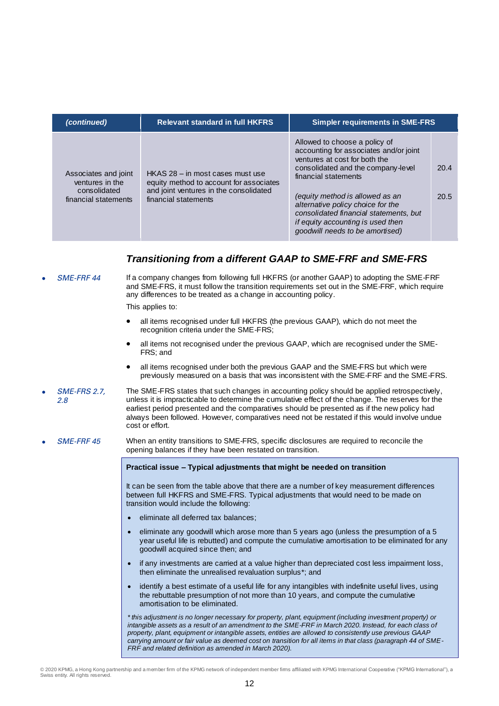| (continued)                                                                     | <b>Relevant standard in full HKFRS</b><br><b>Simpler requirements in SME-FRS</b>                                                              |                                                                                                                                                                                                                                                                                                                                                                  |              |
|---------------------------------------------------------------------------------|-----------------------------------------------------------------------------------------------------------------------------------------------|------------------------------------------------------------------------------------------------------------------------------------------------------------------------------------------------------------------------------------------------------------------------------------------------------------------------------------------------------------------|--------------|
| Associates and joint<br>ventures in the<br>consolidated<br>financial statements | HKAS 28 - in most cases must use<br>equity method to account for associates<br>and joint ventures in the consolidated<br>financial statements | Allowed to choose a policy of<br>accounting for associates and/or joint<br>ventures at cost for both the<br>consolidated and the company-level<br>financial statements<br>(equity method is allowed as an<br>alternative policy choice for the<br>consolidated financial statements, but<br>if equity accounting is used then<br>goodwill needs to be amortised) | 20.4<br>20.5 |

#### *Transitioning from a different GAAP to SME-FRF and SME-FRS*

SME-FRF 44 If a company changes from following full HKFRS (or another GAAP) to adopting the SME-FRF and SME-FRS, it must follow the transition requirements set out in the SME-FRF, which require any differences to be treated as a change in accounting policy.

This applies to:

- all items recognised under full HKFRS (the previous GAAP), which do not meet the recognition criteria under the SME-FRS;
- all items not recognised under the previous GAAP, which are recognised under the SME-FRS; and
- all items recognised under both the previous GAAP and the SME-FRS but which were previously measured on a basis that was inconsistent with the SME-FRF and the SME-FRS.
- SME-FRS 2.7, 2.8 The SME-FRS states that such changes in accounting policy should be applied retrospectively, unless it is impracticable to determine the cumulative effect of the change. The reserves for the earliest period presented and the comparatives should be presented as if the new policy had always been followed. However, comparatives need not be restated if this would involve undue cost or effort.
- SME-FRF 45 When an entity transitions to SME-FRS, specific disclosures are required to reconcile the opening balances if they have been restated on transition.

#### **Practical issue – Typical adjustments that might be needed on transition**

It can be seen from the table above that there are a number of key measurement differences between full HKFRS and SME-FRS. Typical adjustments that would need to be made on transition would include the following:

- eliminate all deferred tax balances;
- eliminate any goodwill which arose more than 5 years ago (unless the presumption of a 5 year useful life is rebutted) and compute the cumulative amortisation to be eliminated for any goodwill acquired since then; and
- if any investments are carried at a value higher than depreciated cost less impairment loss, then eliminate the unrealised revaluation surplus\*; and
- identify a best estimate of a useful life for any intangibles with indefinite useful lives, using the rebuttable presumption of not more than 10 years, and compute the cumulative amortisation to be eliminated.

*\* this adjustment is no longer necessary for property, plant, equipment (including investment property) or intangible assets as a result of an amendment to the SME-FRF in March 2020. Instead, for each class of property, plant, equipment or intangible assets, entities are allowed to consistently use previous GAAP carrying amount or fair value as deemed cost on transition for all items in that class (paragraph 44 of SME-FRF and related definition as amended in March 2020).*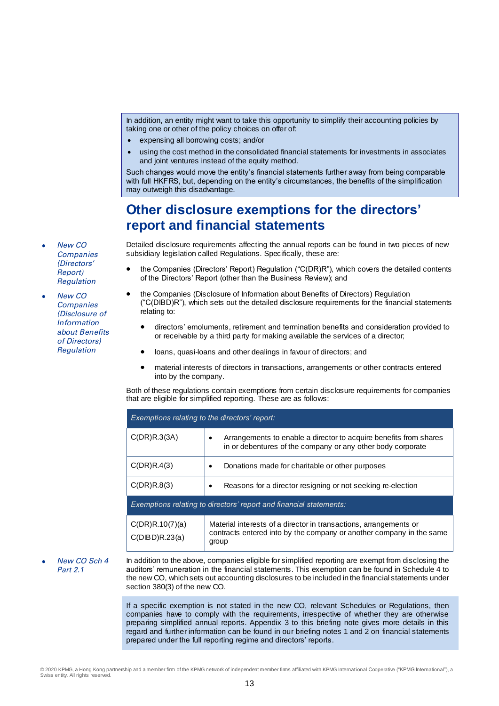In addition, an entity might want to take this opportunity to simplify their accounting policies by taking one or other of the policy choices on offer of:

- expensing all borrowing costs; and/or
- using the cost method in the consolidated financial statements for investments in associates and joint ventures instead of the equity method.

Such changes would move the entity's financial statements further away from being comparable with full HKFRS, but, depending on the entity's circumstances, the benefits of the simplification may outweigh this disadvantage.

# **Other disclosure exemptions for the directors' report and financial statements**

 New CO **Companies** (Directors' Report) Regulation

 New CO **Companies** (Disclosure of Information about Benefits of Directors) **Regulation** 

Detailed disclosure requirements affecting the annual reports can be found in two pieces of new subsidiary legislation called Regulations. Specifically, these are:

- the Companies (Directors' Report) Regulation ("C(DR)R"), which covers the detailed contents of the Directors' Report (other than the Business Review); and
- the Companies (Disclosure of Information about Benefits of Directors) Regulation ("C(DIBD)R"), which sets out the detailed disclosure requirements for the financial statements relating to:
	- directors' emoluments, retirement and termination benefits and consideration provided to or receivable by a third party for making available the services of a director;
	- loans, quasi-loans and other dealings in favour of directors; and
	- material interests of directors in transactions, arrangements or other contracts entered into by the company.

Both of these regulations contain exemptions from certain disclosure requirements for companies that are eligible for simplified reporting. These are as follows:

| Exemptions relating to the directors' report:                      |                                                                                                                                                    |  |  |  |
|--------------------------------------------------------------------|----------------------------------------------------------------------------------------------------------------------------------------------------|--|--|--|
| C(DR)R.3(3A)                                                       | Arrangements to enable a director to acquire benefits from shares<br>٠<br>in or debentures of the company or any other body corporate              |  |  |  |
| C(DR)R.4(3)                                                        | Donations made for charitable or other purposes<br>٠                                                                                               |  |  |  |
| C(DR)R.8(3)                                                        | Reasons for a director resigning or not seeking re-election<br>$\bullet$                                                                           |  |  |  |
| Exemptions relating to directors' report and financial statements: |                                                                                                                                                    |  |  |  |
| C(DR)R.10(7)(a)<br>C(DIBD)R.23(a)                                  | Material interests of a director in transactions, arrangements or<br>contracts entered into by the company or another company in the same<br>group |  |  |  |

 New CO Sch 4 Part 2.1

In addition to the above, companies eligible for simplified reporting are exempt from disclosing the auditors' remuneration in the financial statements. This exemption can be found in Schedule 4 to the new CO, which sets out accounting disclosures to be included in the financial statements under section 380(3) of the new CO.

If a specific exemption is not stated in the new CO, relevant Schedules or Regulations, then companies have to comply with the requirements, irrespective of whether they are otherwise preparing simplified annual reports. Appendix 3 to this briefing note gives more details in this regard and further information can be found in our briefing notes 1 and 2 on financial statements prepared under the full reporting regime and directors' reports.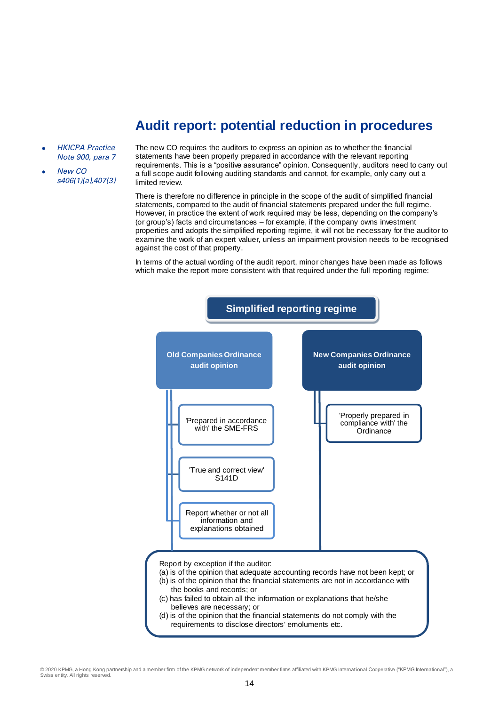# **Audit report: potential reduction in procedures**

- HKICPA Practice Note 900, para 7
- New CO s406(1)(a),407(3)

The new CO requires the auditors to express an opinion as to whether the financial statements have been properly prepared in accordance with the relevant reporting requirements. This is a "positive assurance" opinion. Consequently, auditors need to carry out a full scope audit following auditing standards and cannot, for example, only carry out a limited review.

There is therefore no difference in principle in the scope of the audit of simplified financial statements, compared to the audit of financial statements prepared under the full regime. However, in practice the extent of work required may be less, depending on the company's (or group's) facts and circumstances – for example, if the company owns investment properties and adopts the simplified reporting regime, it will not be necessary for the auditor to examine the work of an expert valuer, unless an impairment provision needs to be recognised against the cost of that property.

In terms of the actual wording of the audit report, minor changes have been made as follows which make the report more consistent with that required under the full reporting regime:

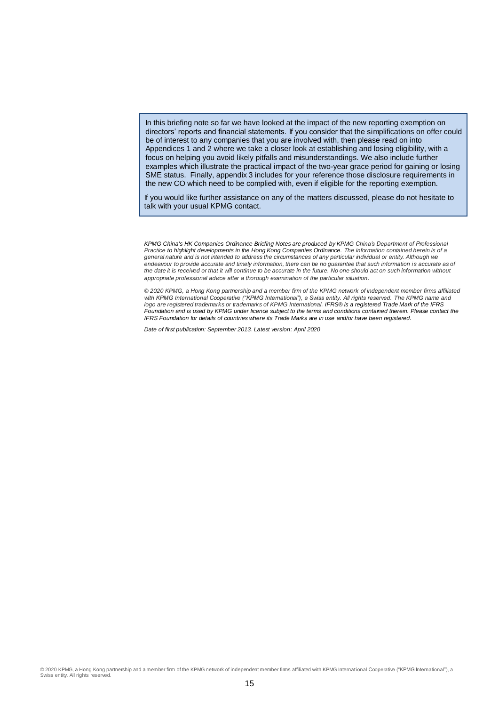In this briefing note so far we have looked at the impact of the new reporting exemption on directors' reports and financial statements. If you consider that the simplifications on offer could be of interest to any companies that you are involved with, then please read on into Appendices 1 and 2 where we take a closer look at establishing and losing eligibility, with a focus on helping you avoid likely pitfalls and misunderstandings. We also include further examples which illustrate the practical impact of the two-year grace period for gaining or losing SME status. Finally, appendix 3 includes for your reference those disclosure requirements in the new CO which need to be complied with, even if eligible for the reporting exemption.

If you would like further assistance on any of the matters discussed, please do not hesitate to talk with your usual KPMG contact.

*KPMG China's HK Companies Ordinance Briefing Notes are produced by KPMG China's Department of Professional Practice to highlight developments in the Hong Kong Companies Ordinance. The information contained herein is of a general nature and is not intended to address the circumstances of any particular individual or entity. Although we endeavour to provide accurate and timely information, there can be no guarantee that such information is accurate as of the date it is received or that it will continue to be accurate in the future. No one should act on such information without appropriate professional advice after a thorough examination of the particular situation.* 

*© 2020 KPMG, a Hong Kong partnership and a member firm of the KPMG network of independent member firms affiliated*  with KPMG International Cooperative ("KPMG International"), a Swiss entity. All rights reserved. The KPMG name and *logo are registered trademarks or trademarks of KPMG International. IFRS® is a registered Trade Mark of the IFRS Foundation and is used by KPMG under licence subject to the terms and conditions contained therein. Please contact the IFRS Foundation for details of countries where its Trade Marks are in use and/or have been registered.*

*Date of first publication: September 2013. Latest version: April 2020*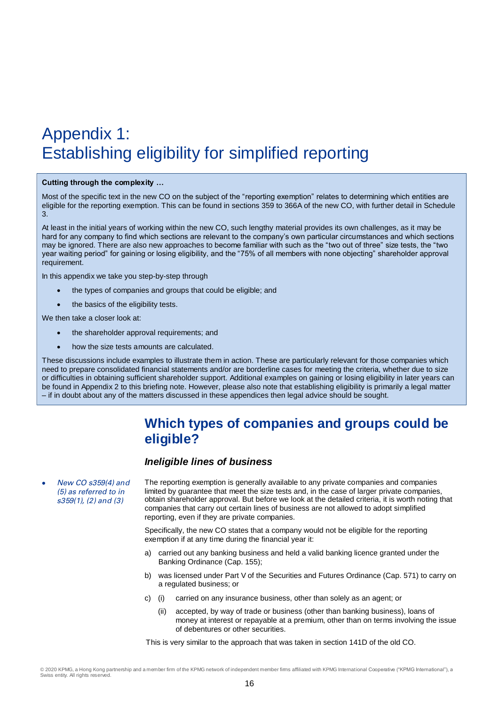# Appendix 1: Establishing eligibility for simplified reporting

#### **Cutting through the complexity …**

Most of the specific text in the new CO on the subject of the "reporting exemption" relates to determining which entities are eligible for the reporting exemption. This can be found in sections 359 to 366A of the new CO, with further detail in Schedule 3.

At least in the initial years of working within the new CO, such lengthy material provides its own challenges, as it may be hard for any company to find which sections are relevant to the company's own particular circumstances and which sections may be ignored. There are also new approaches to become familiar with such as the "two out of three" size tests, the "two year waiting period" for gaining or losing eligibility, and the "75% of all members with none objecting" shareholder approval requirement.

In this appendix we take you step-by-step through

- the types of companies and groups that could be eligible; and
- the basics of the eligibility tests.

We then take a closer look at:

- the shareholder approval requirements; and
- how the size tests amounts are calculated.

These discussions include examples to illustrate them in action. These are particularly relevant for those companies which need to prepare consolidated financial statements and/or are borderline cases for meeting the criteria, whether due to size or difficulties in obtaining sufficient shareholder support. Additional examples on gaining or losing eligibility in later years can be found in Appendix 2 to this briefing note. However, please also note that establishing eligibility is primarily a legal matter – if in doubt about any of the matters discussed in these appendices then legal advice should be sought.

## **Which types of companies and groups could be eligible?**

#### *Ineligible lines of business*

 New CO s359(4) and (5) as referred to in s359(1), (2) and (3) The reporting exemption is generally available to any private companies and companies limited by guarantee that meet the size tests and, in the case of larger private companies, obtain shareholder approval. But before we look at the detailed criteria, it is worth noting that companies that carry out certain lines of business are not allowed to adopt simplified reporting, even if they are private companies.

> Specifically, the new CO states that a company would not be eligible for the reporting exemption if at any time during the financial year it:

- a) carried out any banking business and held a valid banking licence granted under the Banking Ordinance (Cap. 155);
- b) was licensed under Part V of the Securities and Futures Ordinance (Cap. 571) to carry on a regulated business; or
- c) (i) carried on any insurance business, other than solely as an agent; or
	- (ii) accepted, by way of trade or business (other than banking business), loans of money at interest or repayable at a premium, other than on terms involving the issue of debentures or other securities.

This is very similar to the approach that was taken in section 141D of the old CO.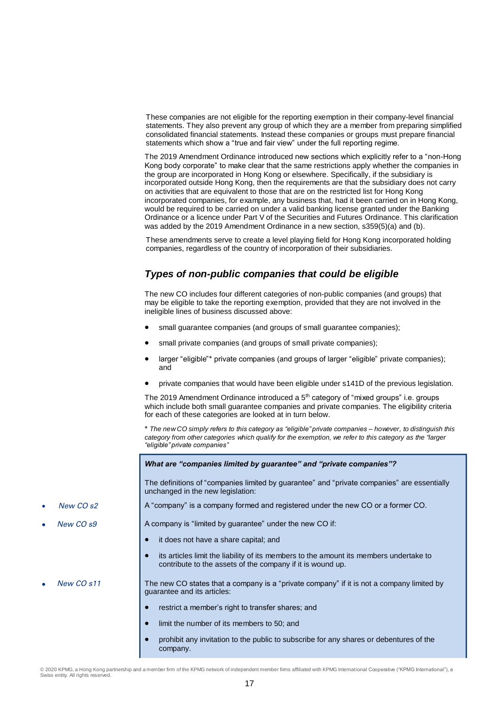These companies are not eligible for the reporting exemption in their company-level financial statements. They also prevent any group of which they are a member from preparing simplified consolidated financial statements. Instead these companies or groups must prepare financial statements which show a "true and fair view" under the full reporting regime.

The 2019 Amendment Ordinance introduced new sections which explicitly refer to a "non-Hong Kong body corporate" to make clear that the same restrictions apply whether the companies in the group are incorporated in Hong Kong or elsewhere. Specifically, if the subsidiary is incorporated outside Hong Kong, then the requirements are that the subsidiary does not carry on activities that are equivalent to those that are on the restricted list for Hong Kong incorporated companies, for example, any business that, had it been carried on in Hong Kong, would be required to be carried on under a valid banking license granted under the Banking Ordinance or a licence under Part V of the Securities and Futures Ordinance. This clarification was added by the 2019 Amendment Ordinance in a new section, s359(5)(a) and (b).

These amendments serve to create a level playing field for Hong Kong incorporated holding companies, regardless of the country of incorporation of their subsidiaries.

### *Types of non-public companies that could be eligible*

The new CO includes four different categories of non-public companies (and groups) that may be eligible to take the reporting exemption, provided that they are not involved in the ineligible lines of business discussed above:

- small guarantee companies (and groups of small guarantee companies);
- small private companies (and groups of small private companies);
- larger "eligible"\* private companies (and groups of larger "eligible" private companies); and
- private companies that would have been eligible under s141D of the previous legislation.

The 2019 Amendment Ordinance introduced a  $5<sup>th</sup>$  category of "mixed groups" i.e. groups which include both small guarantee companies and private companies. The eligibility criteria for each of these categories are looked at in turn below.

\* *The new CO simply refers to this category as "eligible" private companies – however, to distinguish this category from other categories which qualify for the exemption, we refer to this category as the "larger "eligible" private companies"*

#### *What are "companies limited by guarantee" and "private companies"?*

The definitions of "companies limited by guarantee" and "private companies" are essentially unchanged in the new legislation:

A "company" is a company formed and registered under the new CO or a former CO.

New CO  $s$ 9 **A** company is "limited by guarantee" under the new CO if:

- it does not have a share capital; and
- its articles limit the liability of its members to the amount its members undertake to contribute to the assets of the company if it is wound up.

New CO s11 The new CO states that a company is a "private company" if it is not a company limited by guarantee and its articles:

- restrict a member's right to transfer shares; and
- limit the number of its members to 50; and
- prohibit any invitation to the public to subscribe for any shares or debentures of the company.
- New CO s2
-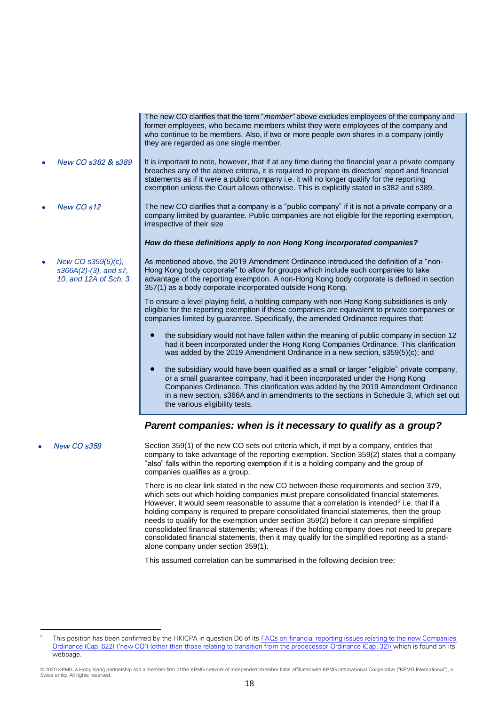|                    | former employees, who became members whilst they were employees of the company and<br>who continue to be members. Also, if two or more people own shares in a company jointly<br>they are regarded as one single member.                                                                                                                                                                         |
|--------------------|--------------------------------------------------------------------------------------------------------------------------------------------------------------------------------------------------------------------------------------------------------------------------------------------------------------------------------------------------------------------------------------------------|
| New CO s382 & s389 | It is important to note, however, that if at any time during the financial year a private company<br>breaches any of the above criteria, it is required to prepare its directors' report and financial<br>statements as if it were a public company i.e. it will no longer qualify for the reporting<br>exemption unless the Court allows otherwise. This is explicitly stated in s382 and s389. |

New CO s12 The new CO clarifies that a company is a "public company" if it is not a private company or a company limited by guarantee. Public companies are not eligible for the reporting exemption, irrespective of their size

*How do these definitions apply to non Hong Kong incorporated companies?*

 *New CO s359(5)(c), s366A(2)-(3), and s7, 10, and 12A of Sch. 3*

As mentioned above, the 2019 Amendment Ordinance introduced the definition of a "non-Hong Kong body corporate" to allow for groups which include such companies to take advantage of the reporting exemption. A non-Hong Kong body corporate is defined in section 357(1) as a body corporate incorporated outside Hong Kong.

The new CO clarifies that the term "*member"* above excludes employees of the company and

To ensure a level playing field, a holding company with non Hong Kong subsidiaries is only eligible for the reporting exemption if these companies are equivalent to private companies or companies limited by guarantee. Specifically, the amended Ordinance requires that:

- the subsidiary would not have fallen within the meaning of public company in section 12 had it been incorporated under the Hong Kong Companies Ordinance. This clarification was added by the 2019 Amendment Ordinance in a new section, s359(5)(c); and
- the subsidiary would have been qualified as a small or larger "eligible" private company, or a small guarantee company, had it been incorporated under the Hong Kong Companies Ordinance. This clarification was added by the 2019 Amendment Ordinance in a new section, s366A and in amendments to the sections in Schedule 3, which set out the various eligibility tests.

#### *Parent companies: when is it necessary to qualify as a group?*

 $\overline{a}$ 

New CO s359 Section 359(1) of the new CO sets out criteria which, if met by a company, entitles that company to take advantage of the reporting exemption. Section 359(2) states that a company "also" falls within the reporting exemption if it is a holding company and the group of companies qualifies as a group.

> There is no clear link stated in the new CO between these requirements and section 379, which sets out which holding companies must prepare consolidated financial statements. However, it would seem reasonable to assume that a correlation is intended<sup>2</sup> i.e. that if a holding company is required to prepare consolidated financial statements, then the group needs to qualify for the exemption under section 359(2) before it can prepare simplified consolidated financial statements; whereas if the holding company does not need to prepare consolidated financial statements, then it may qualify for the simplified reporting as a standalone company under section 359(1).

This assumed correlation can be summarised in the following decision tree:

<sup>2</sup> This position has been confirmed by the HKICPA in question D6 of its **FAQs on financial reporting issues relating to the new Companies** [Ordinance \(Cap. 622\) \("new CO"\) \(other than those relating to transition from the predecessor Ordinance \(Cap. 32\)\)](https://www.hkicpa.org.hk/en/Tools/FAQ/Standards/New-Companies-Ordinance/CO-rewrite---non-transitional-QA) which is found on its webpage.

<sup>© 2020</sup> KPMG, a Hong Kong partnership and a member firm of the KPMG network of independent member firms affiliated with KPMG International Cooperative ("KPMG International"), a  $w$ iss entity. All rights reserved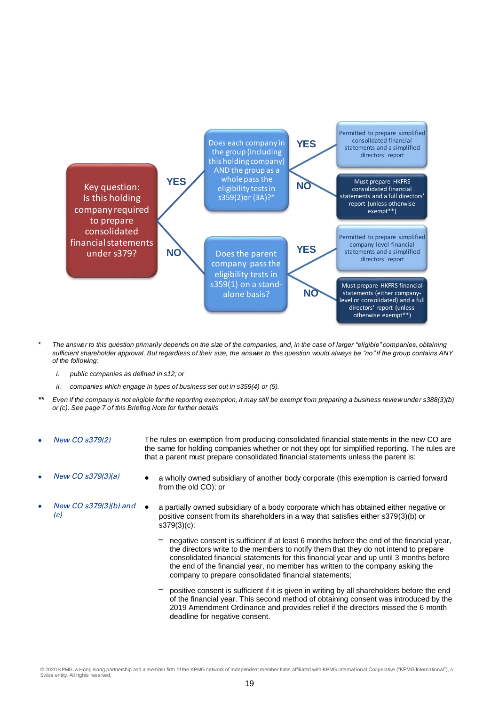

- \* *The answer to this question primarily depends on the size of the companies, and, in the case of larger "eligible" companies, obtaining sufficient shareholder approval. But regardless of their size, the answer to this question would always be "no" if the group contains ANY of the following:*
	- *i. public companies as defined in s12; or*
	- *ii. companies which engage in types of business set out in s359(4) or (5).*
- *\*\* Even if the company is not eligible for the reporting exemption, it may still be exempt from preparing a business review under s388(3)(b) or (c). See page 7 of this Briefing Note for further details*
- New CO s379(2) The rules on exemption from producing consolidated financial statements in the new CO are the same for holding companies whether or not they opt for simplified reporting. The rules are that a parent must prepare consolidated financial statements unless the parent is:
- 

 $(c)$ 

- New CO  $s379(3)(a)$   $\bullet$  a wholly owned subsidiary of another body corporate (this exemption is carried forward from the old CO); or
- New CO s379(3)(b) and a partially owned subsidiary of a body corporate which has obtained either negative or positive consent from its shareholders in a way that satisfies either s379(3)(b) or s379(3)(c):
	- negative consent is sufficient if at least 6 months before the end of the financial year, the directors write to the members to notify them that they do not intend to prepare consolidated financial statements for this financial year and up until 3 months before the end of the financial year, no member has written to the company asking the company to prepare consolidated financial statements;
	- positive consent is sufficient if it is given in writing by all shareholders before the end of the financial year. This second method of obtaining consent was introduced by the 2019 Amendment Ordinance and provides relief if the directors missed the 6 month deadline for negative consent.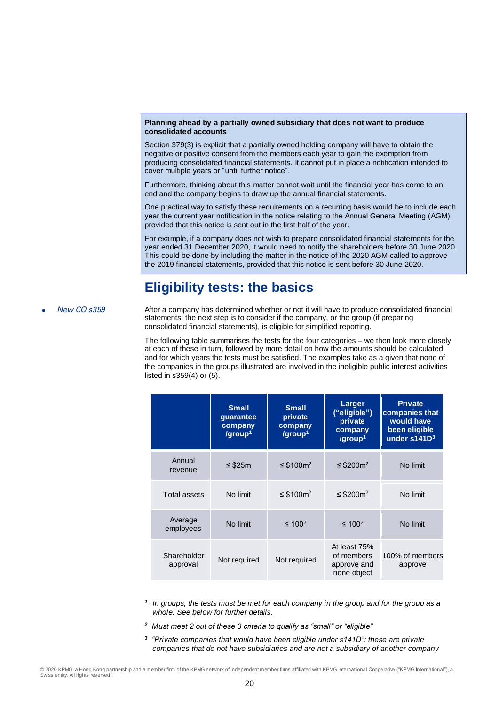#### **Planning ahead by a partially owned subsidiary that does not want to produce consolidated accounts**

Section 379(3) is explicit that a partially owned holding company will have to obtain the negative or positive consent from the members each year to gain the exemption from producing consolidated financial statements. It cannot put in place a notification intended to cover multiple years or "until further notice".

Furthermore, thinking about this matter cannot wait until the financial year has come to an end and the company begins to draw up the annual financial statements.

One practical way to satisfy these requirements on a recurring basis would be to include each year the current year notification in the notice relating to the Annual General Meeting (AGM), provided that this notice is sent out in the first half of the year.

For example, if a company does not wish to prepare consolidated financial statements for the year ended 31 December 2020, it would need to notify the shareholders before 30 June 2020. This could be done by including the matter in the notice of the 2020 AGM called to approve the 2019 financial statements, provided that this notice is sent before 30 June 2020.

# **Eligibility tests: the basics**

New CO s359 After a company has determined whether or not it will have to produce consolidated financial statements, the next step is to consider if the company, or the group (if preparing consolidated financial statements), is eligible for simplified reporting.

> The following table summarises the tests for the four categories – we then look more closely at each of these in turn, followed by more detail on how the amounts should be calculated and for which years the tests must be satisfied. The examples take as a given that none of the companies in the groups illustrated are involved in the ineligible public interest activities listed in s359(4) or (5).

|                         | <b>Small</b><br>guarantee<br>company<br>/group1 | <b>Small</b><br>private<br>company<br>/group <sup>1</sup> | Larger<br>("eligible")<br>private<br>company<br>/group <sup>1</sup> | <b>Private</b><br>companies that<br>would have<br>been eligible<br>under s141D <sup>3</sup> |
|-------------------------|-------------------------------------------------|-----------------------------------------------------------|---------------------------------------------------------------------|---------------------------------------------------------------------------------------------|
| Annual<br>revenue       | ≤ \$25m                                         | ≤ \$100 $m^2$                                             | ≤ \$200 $m^2$                                                       | No limit                                                                                    |
| Total assets            | No limit                                        | ≤ \$100 $m^2$                                             | ≤ \$200 $m^2$                                                       | No limit                                                                                    |
| Average<br>employees    | No limit                                        | ≤ 100 <sup>2</sup>                                        | $\leq 100^2$                                                        | No limit                                                                                    |
| Shareholder<br>approval | Not required                                    | Not required                                              | At least 75%<br>of members<br>approve and<br>none object            | 100% of members<br>approve                                                                  |

*1 In groups, the tests must be met for each company in the group and for the group as a whole. See below for further details.*

- *2 Must meet 2 out of these 3 criteria to qualify as "small" or "eligible"*
- *3 "Private companies that would have been eligible under s141D": these are private companies that do not have subsidiaries and are not a subsidiary of another company*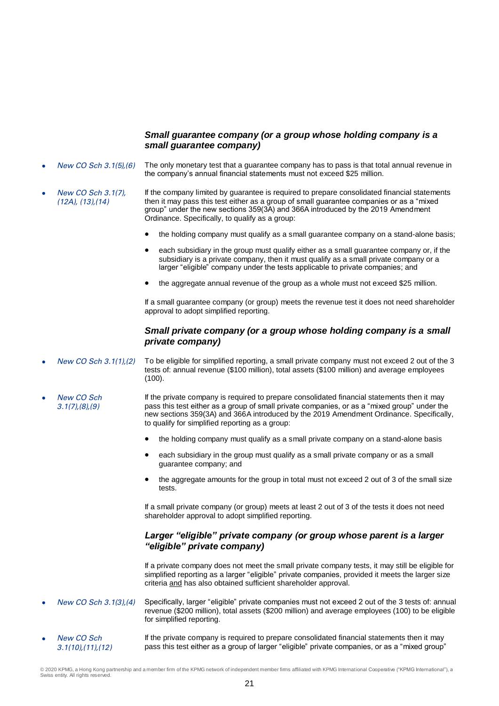#### *Small guarantee company (or a group whose holding company is a small guarantee company)*

- New CO Sch 3.1(5),(6) The only monetary test that a guarantee company has to pass is that total annual revenue in the company's annual financial statements must not exceed \$25 million.
- New CO Sch 3.1(7), (12A), (13),(14) If the company limited by guarantee is required to prepare consolidated financial statements then it may pass this test either as a group of small guarantee companies or as a "mixed group" under the new sections 359(3A) and 366A introduced by the 2019 Amendment Ordinance. Specifically, to qualify as a group:
	- the holding company must qualify as a small guarantee company on a stand-alone basis;
	- each subsidiary in the group must qualify either as a small guarantee company or, if the subsidiary is a private company, then it must qualify as a small private company or a larger "eligible" company under the tests applicable to private companies; and
	- the aggregate annual revenue of the group as a whole must not exceed \$25 million.

If a small guarantee company (or group) meets the revenue test it does not need shareholder approval to adopt simplified reporting.

#### *Small private company (or a group whose holding company is a small private company)*

- New CO Sch 3.1(1),(2) To be eligible for simplified reporting, a small private company must not exceed 2 out of the 3 tests of: annual revenue (\$100 million), total assets (\$100 million) and average employees (100).
- New CO Sch 3.1(7),(8),(9) If the private company is required to prepare consolidated financial statements then it may pass this test either as a group of small private companies, or as a "mixed group" under the new sections 359(3A) and 366A introduced by the 2019 Amendment Ordinance. Specifically, to qualify for simplified reporting as a group:
	- the holding company must qualify as a small private company on a stand-alone basis
	- each subsidiary in the group must qualify as a small private company or as a small guarantee company; and
	- the aggregate amounts for the group in total must not exceed 2 out of 3 of the small size tests.

If a small private company (or group) meets at least 2 out of 3 of the tests it does not need shareholder approval to adopt simplified reporting.

#### *Larger "eligible" private company (or group whose parent is a larger "eligible" private company)*

If a private company does not meet the small private company tests, it may still be eligible for simplified reporting as a larger "eligible" private companies, provided it meets the larger size criteria and has also obtained sufficient shareholder approval.

- New CO Sch 3.1(3),(4) Specifically, larger "eligible" private companies must not exceed 2 out of the 3 tests of: annual revenue (\$200 million), total assets (\$200 million) and average employees (100) to be eligible for simplified reporting.
- New CO Sch 3.1(10),(11),(12) If the private company is required to prepare consolidated financial statements then it may pass this test either as a group of larger "eligible" private companies, or as a "mixed group"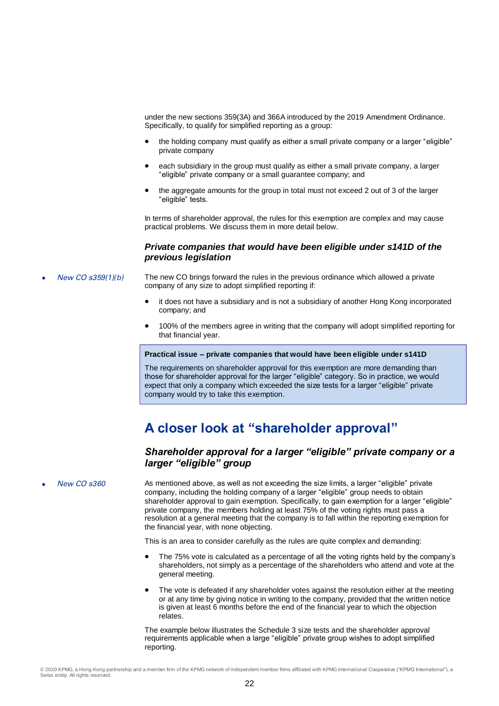under the new sections 359(3A) and 366A introduced by the 2019 Amendment Ordinance. Specifically, to qualify for simplified reporting as a group:

- the holding company must qualify as either a small private company or a larger "eligible" private company
- each subsidiary in the group must qualify as either a small private company, a larger "eligible" private company or a small guarantee company; and
- the aggregate amounts for the group in total must not exceed 2 out of 3 of the larger "eligible" tests.

In terms of shareholder approval, the rules for this exemption are complex and may cause practical problems. We discuss them in more detail below.

#### *Private companies that would have been eligible under s141D of the previous legislation*

- New CO  $s359(1)(b)$  The new CO brings forward the rules in the previous ordinance which allowed a private company of any size to adopt simplified reporting if:
	- it does not have a subsidiary and is not a subsidiary of another Hong Kong incorporated company; and
	- 100% of the members agree in writing that the company will adopt simplified reporting for that financial year.

#### **Practical issue – private companies that would have been eligible under s141D**

The requirements on shareholder approval for this exemption are more demanding than those for shareholder approval for the larger "eligible" category. So in practice, we would expect that only a company which exceeded the size tests for a larger "eligible" private company would try to take this exemption.

# **A closer look at "shareholder approval"**

#### *Shareholder approval for a larger "eligible" private company or a larger "eligible" group*

New CO s360 As mentioned above, as well as not exceeding the size limits, a larger "eligible" private company, including the holding company of a larger "eligible" group needs to obtain shareholder approval to gain exemption. Specifically, to gain exemption for a larger "eligible" private company, the members holding at least 75% of the voting rights must pass a resolution at a general meeting that the company is to fall within the reporting exemption for the financial year, with none objecting.

This is an area to consider carefully as the rules are quite complex and demanding:

- The 75% vote is calculated as a percentage of all the voting rights held by the company's shareholders, not simply as a percentage of the shareholders who attend and vote at the general meeting.
- The vote is defeated if any shareholder votes against the resolution either at the meeting or at any time by giving notice in writing to the company, provided that the written notice is given at least 6 months before the end of the financial year to which the objection relates.

The example below illustrates the Schedule 3 size tests and the shareholder approval requirements applicable when a large "eligible" private group wishes to adopt simplified reporting.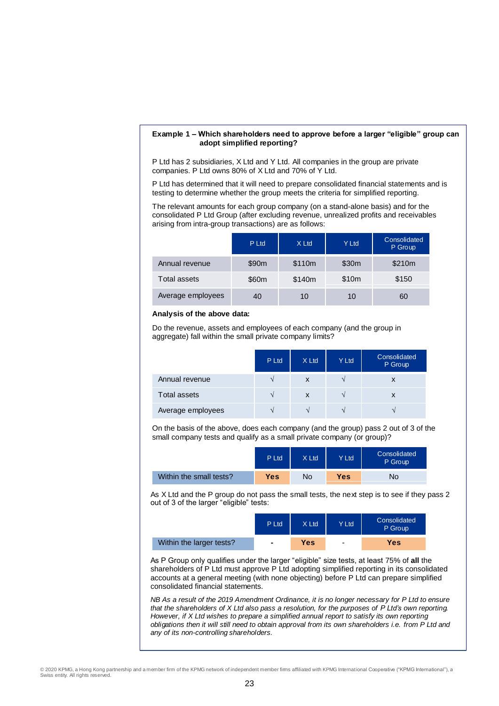#### **Example 1 – Which shareholders need to approve before a larger "eligible" group can adopt simplified reporting?**

P Ltd has 2 subsidiaries, X Ltd and Y Ltd. All companies in the group are private companies. P Ltd owns 80% of X Ltd and 70% of Y Ltd.

P Ltd has determined that it will need to prepare consolidated financial statements and is testing to determine whether the group meets the criteria for simplified reporting.

The relevant amounts for each group company (on a stand-alone basis) and for the consolidated P Ltd Group (after excluding revenue, unrealized profits and receivables arising from intra-group transactions) are as follows:

|                   | P Ltd | X Ltd  | Y Ltd | Consolidated<br>P Group |
|-------------------|-------|--------|-------|-------------------------|
| Annual revenue    | \$90m | \$110m | \$30m | \$210m                  |
| Total assets      | \$60m | \$140m | \$10m | \$150                   |
| Average employees | 40    | 10     | 10    | 60                      |

#### **Analysis of the above data:**

Do the revenue, assets and employees of each company (and the group in aggregate) fall within the small private company limits?

|                     | P Ltd | X Ltd             | Y Ltd                    | <b>Consolidated</b><br>P Group |
|---------------------|-------|-------------------|--------------------------|--------------------------------|
| Annual revenue      |       | X                 |                          | x                              |
| <b>Total assets</b> |       | X                 |                          | X                              |
| Average employees   |       | $\mathbf{\hat{}}$ | $\overline{\phantom{a}}$ |                                |

On the basis of the above, does each company (and the group) pass 2 out of 3 of the small company tests and qualify as a small private company (or group)?

|                         | P Ltd      | X Ltd | Y Ltd | Consolidated<br>P Group |
|-------------------------|------------|-------|-------|-------------------------|
| Within the small tests? | <b>Yes</b> | No    | Yes   | No                      |

As X Ltd and the P group do not pass the small tests, the next step is to see if they pass 2 out of 3 of the larger "eligible" tests:

|                          | P Ltd          | X Ltd | Y Ltd                    | Consolidated<br>P Group |
|--------------------------|----------------|-------|--------------------------|-------------------------|
| Within the larger tests? | $\blacksquare$ | Yes   | $\overline{\phantom{0}}$ | Yes                     |

As P Group only qualifies under the larger "eligible" size tests, at least 75% of **all** the shareholders of P Ltd must approve P Ltd adopting simplified reporting in its consolidated accounts at a general meeting (with none objecting) before P Ltd can prepare simplified consolidated financial statements.

*NB As a result of the 2019 Amendment Ordinance, it is no longer necessary for P Ltd to ensure that the shareholders of X Ltd also pass a resolution, for the purposes of P Ltd's own reporting. However, if X Ltd wishes to prepare a simplified annual report to satisfy its own reporting obligations then it will still need to obtain approval from its own shareholders i.e. from P Ltd and any of its non-controlling shareholders.*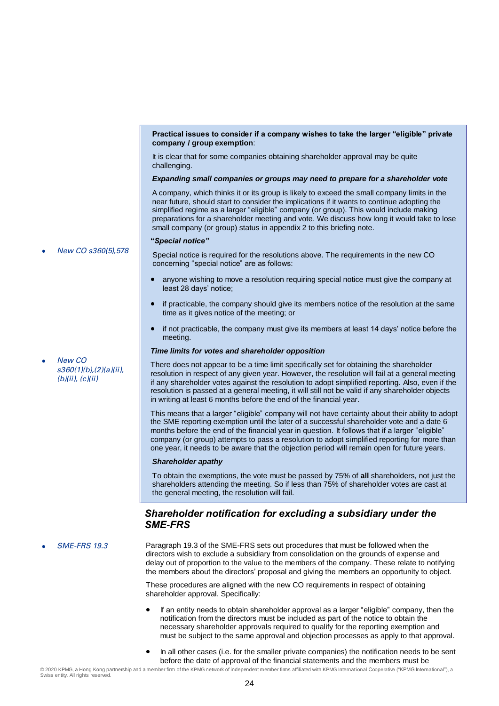#### **Practical issues to consider if a company wishes to take the larger "eligible" private company / group exemption**:

It is clear that for some companies obtaining shareholder approval may be quite challenging.

#### *Expanding small companies or groups may need to prepare for a shareholder vote*

A company, which thinks it or its group is likely to exceed the small company limits in the near future, should start to consider the implications if it wants to continue adopting the simplified regime as a larger "eligible" company (or group). This would include making preparations for a shareholder meeting and vote. We discuss how long it would take to lose small company (or group) status in appendix 2 to this briefing note.

#### **"***Special notice"*

New CO s360(5),578

New CO

s360(1)(b),(2)(a)(ii),  $(b)(ii), (c)(ii)$ 

Special notice is required for the resolutions above. The requirements in the new CO concerning "special notice" are as follows:

- anyone wishing to move a resolution requiring special notice must give the company at least 28 days' notice;
- if practicable, the company should give its members notice of the resolution at the same time as it gives notice of the meeting; or
- if not practicable, the company must give its members at least 14 days' notice before the meeting.

#### *Time limits for votes and shareholder opposition*

There does not appear to be a time limit specifically set for obtaining the shareholder resolution in respect of any given year. However, the resolution will fail at a general meeting if any shareholder votes against the resolution to adopt simplified reporting. Also, even if the resolution is passed at a general meeting, it will still not be valid if any shareholder objects in writing at least 6 months before the end of the financial year.

This means that a larger "eligible" company will not have certainty about their ability to adopt the SME reporting exemption until the later of a successful shareholder vote and a date 6 months before the end of the financial year in question. It follows that if a larger "eligible" company (or group) attempts to pass a resolution to adopt simplified reporting for more than one year, it needs to be aware that the objection period will remain open for future years.

#### *Shareholder apathy*

To obtain the exemptions, the vote must be passed by 75% of **all** shareholders, not just the shareholders attending the meeting. So if less than 75% of shareholder votes are cast at the general meeting, the resolution will fail.

#### *Shareholder notification for excluding a subsidiary under the SME-FRS*

 SME-FRS 19.3 Paragraph 19.3 of the SME-FRS sets out procedures that must be followed when the directors wish to exclude a subsidiary from consolidation on the grounds of expense and delay out of proportion to the value to the members of the company. These relate to notifying the members about the directors' proposal and giving the members an opportunity to object.

> These procedures are aligned with the new CO requirements in respect of obtaining shareholder approval. Specifically:

 If an entity needs to obtain shareholder approval as a larger "eligible" company, then the notification from the directors must be included as part of the notice to obtain the necessary shareholder approvals required to qualify for the reporting exemption and must be subject to the same approval and objection processes as apply to that approval.

 In all other cases (i.e. for the smaller private companies) the notification needs to be sent before the date of approval of the financial statements and the members must be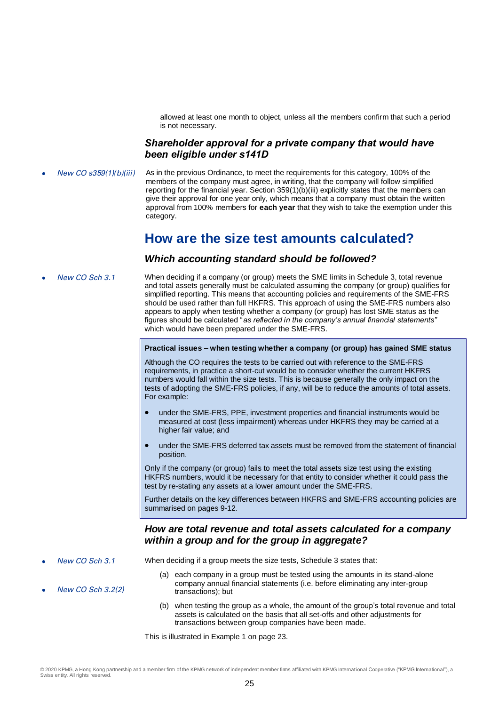allowed at least one month to object, unless all the members confirm that such a period is not necessary.

#### *Shareholder approval for a private company that would have been eligible under s141D*

New CO s359(1)(b)(iii) As in the previous Ordinance, to meet the requirements for this category, 100% of the members of the company must agree, in writing, that the company will follow simplified reporting for the financial year. Section 359(1)(b)(iii) explicitly states that the members can give their approval for one year only, which means that a company must obtain the written approval from 100% members for **each year** that they wish to take the exemption under this category.

# **How are the size test amounts calculated?**

#### *Which accounting standard should be followed?*

New CO Sch 3.1 When deciding if a company (or group) meets the SME limits in Schedule 3, total revenue and total assets generally must be calculated assuming the company (or group) qualifies for simplified reporting. This means that accounting policies and requirements of the SME-FRS should be used rather than full HKFRS. This approach of using the SME-FRS numbers also appears to apply when testing whether a company (or group) has lost SME status as the figures should be calculated "*as reflected in the company's annual financial statements"*  which would have been prepared under the SME-FRS.

#### **Practical issues – when testing whether a company (or group) has gained SME status**

Although the CO requires the tests to be carried out with reference to the SME-FRS requirements, in practice a short-cut would be to consider whether the current HKFRS numbers would fall within the size tests. This is because generally the only impact on the tests of adopting the SME-FRS policies, if any, will be to reduce the amounts of total assets. For example:

- under the SME-FRS, PPE, investment properties and financial instruments would be measured at cost (less impairment) whereas under HKFRS they may be carried at a higher fair value; and
- under the SME-FRS deferred tax assets must be removed from the statement of financial position.

Only if the company (or group) fails to meet the total assets size test using the existing HKFRS numbers, would it be necessary for that entity to consider whether it could pass the test by re-stating any assets at a lower amount under the SME-FRS.

Further details on the key differences between HKFRS and SME-FRS accounting policies are summarised on pages 9-12.

#### *How are total revenue and total assets calculated for a company within a group and for the group in aggregate?*

New CO Sch 3.1

New CO Sch 3.2(2)

- When deciding if a group meets the size tests, Schedule 3 states that:
	- (a) each company in a group must be tested using the amounts in its stand-alone company annual financial statements (i.e. before eliminating any inter-group transactions); but
	- (b) when testing the group as a whole, the amount of the group's total revenue and total assets is calculated on the basis that all set-offs and other adjustments for transactions between group companies have been made.

This is illustrated in Example 1 on page 23.

© 2020 KPMG, a Hong Kong partnership and a member firm of the KPMG network of independent member firms affiliated with KPMG International Cooperative ("KPMG International"), a Swiss entity. All rights reserved.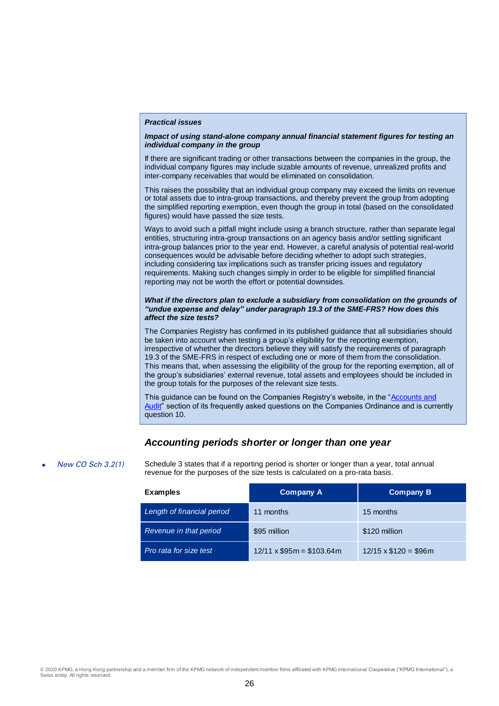#### *Practical issues*

#### *Impact of using stand-alone company annual financial statement figures for testing an individual company in the group*

If there are significant trading or other transactions between the companies in the group, the individual company figures may include sizable amounts of revenue, unrealized profits and inter-company receivables that would be eliminated on consolidation.

This raises the possibility that an individual group company may exceed the limits on revenue or total assets due to intra-group transactions, and thereby prevent the group from adopting the simplified reporting exemption, even though the group in total (based on the consolidated figures) would have passed the size tests.

Ways to avoid such a pitfall might include using a branch structure, rather than separate legal entities, structuring intra-group transactions on an agency basis and/or settling significant intra-group balances prior to the year end. However, a careful analysis of potential real-world consequences would be advisable before deciding whether to adopt such strategies, including considering tax implications such as transfer pricing issues and regulatory requirements. Making such changes simply in order to be eligible for simplified financial reporting may not be worth the effort or potential downsides.

#### *What if the directors plan to exclude a subsidiary from consolidation on the grounds of "undue expense and delay" under paragraph 19.3 of the SME-FRS? How does this affect the size tests?*

The Companies Registry has confirmed in its published guidance that all subsidiaries should be taken into account when testing a group's eligibility for the reporting exemption, irrespective of whether the directors believe they will satisfy the requirements of paragraph 19.3 of the SME-FRS in respect of excluding one or more of them from the consolidation. This means that, when assessing the eligibility of the group for the reporting exemption, all of the group's subsidiaries' external revenue, total assets and employees should be included in the group totals for the purposes of the relevant size tests.

This guidance can be found on the Companies Registry's website, in the "Accounts and [Audit"](https://www.cr.gov.hk/en/faq/companies-ordinance/co-account-audit.htm) section of its frequently asked questions on the Companies Ordinance and is currently question 10.

#### *Accounting periods shorter or longer than one year*

New CO Sch 3.2(1) Schedule 3 states that if a reporting period is shorter or longer than a year, total annual revenue for the purposes of the size tests is calculated on a pro-rata basis.

| <b>Examples</b>            | <b>Company A</b>               | <b>Company B</b>           |  |  |
|----------------------------|--------------------------------|----------------------------|--|--|
| Length of financial period | 11 months                      | 15 months                  |  |  |
| Revenue in that period     | \$95 million                   | \$120 million              |  |  |
| Pro rata for size test     | $12/11 \times $95m = $103.64m$ | $12/15 \times $120 = $96m$ |  |  |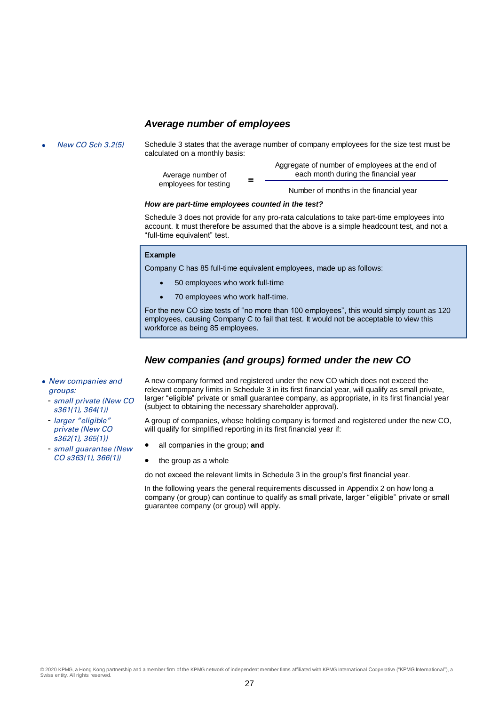#### *Average number of employees*

New CO Sch 3.2(5) Schedule 3 states that the average number of company employees for the size test must be calculated on a monthly basis:

| Average number of<br>employees for testing | Aggregate of number of employees at the end of<br>each month during the financial year |  |  |  |
|--------------------------------------------|----------------------------------------------------------------------------------------|--|--|--|
|                                            | Number of months in the financial year                                                 |  |  |  |

#### *How are part-time employees counted in the test?*

Schedule 3 does not provide for any pro-rata calculations to take part-time employees into account. It must therefore be assumed that the above is a simple headcount test, and not a "full-time equivalent" test.

#### **Example**

Company C has 85 full-time equivalent employees, made up as follows:

- 50 employees who work full-time
- 70 employees who work half-time.

For the new CO size tests of "no more than 100 employees", this would simply count as 120 employees, causing Company C to fail that test. It would not be acceptable to view this workforce as being 85 employees.

#### *New companies (and groups) formed under the new CO*

- New companies and groups:
	- small private (New CO s361(1), 364(1))
	- larger "eligible" private (New CO s362(1), 365(1))
	- small guarantee (New CO s363(1), 366(1))

A new company formed and registered under the new CO which does not exceed the relevant company limits in Schedule 3 in its first financial year, will qualify as small private, larger "eligible" private or small guarantee company, as appropriate, in its first financial year (subject to obtaining the necessary shareholder approval).

A group of companies, whose holding company is formed and registered under the new CO, will qualify for simplified reporting in its first financial year if:

- all companies in the group; **and**
- $\bullet$  the group as a whole

do not exceed the relevant limits in Schedule 3 in the group's first financial year.

In the following years the general requirements discussed in Appendix 2 on how long a company (or group) can continue to qualify as small private, larger "eligible" private or small guarantee company (or group) will apply.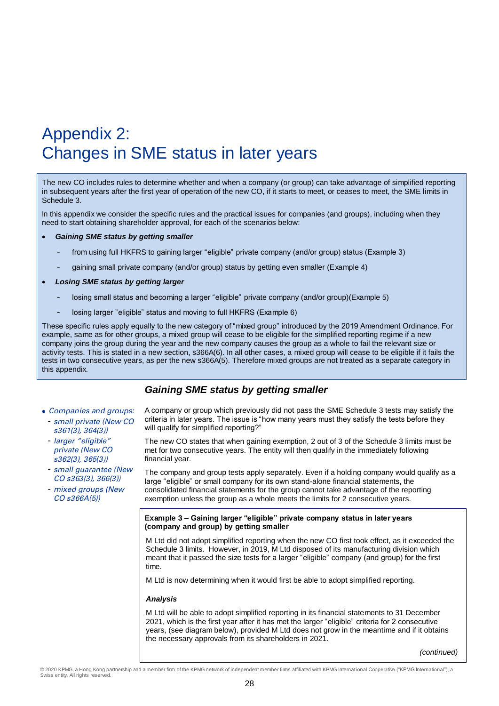# Appendix 2: Changes in SME status in later years

The new CO includes rules to determine whether and when a company (or group) can take advantage of simplified reporting in subsequent years after the first year of operation of the new CO, if it starts to meet, or ceases to meet, the SME limits in Schedule 3.

In this appendix we consider the specific rules and the practical issues for companies (and groups), including when they need to start obtaining shareholder approval, for each of the scenarios below:

#### *Gaining SME status by getting smaller*

- from using full HKFRS to gaining larger "eligible" private company (and/or group) status (Example 3)
- gaining small private company (and/or group) status by getting even smaller (Example 4)
- *Losing SME status by getting larger*
	- losing small status and becoming a larger "eligible" private company (and/or group)(Example 5)
	- losing larger "eligible" status and moving to full HKFRS (Example 6)

These specific rules apply equally to the new category of "mixed group" introduced by the 2019 Amendment Ordinance. For example, same as for other groups, a mixed group will cease to be eligible for the simplified reporting regime if a new company joins the group during the year and the new company causes the group as a whole to fail the relevant size or activity tests. This is stated in a new section, s366A(6). In all other cases, a mixed group will cease to be eligible if it fails the tests in two consecutive years, as per the new s366A(5). Therefore mixed groups are not treated as a separate category in this appendix.

#### *Gaining SME status by getting smaller*

- Companies and groups:
- small private (New CO s361(3), 364(3))
- larger "eligible" private (New CO s362(3), 365(3))
- small guarantee (New CO s363(3), 366(3))
- mixed groups (New CO s366A(5))

A company or group which previously did not pass the SME Schedule 3 tests may satisfy the criteria in later years. The issue is "how many years must they satisfy the tests before they will qualify for simplified reporting?"

The new CO states that when gaining exemption, 2 out of 3 of the Schedule 3 limits must be met for two consecutive years. The entity will then qualify in the immediately following financial year.

The company and group tests apply separately. Even if a holding company would qualify as a large "eligible" or small company for its own stand-alone financial statements, the consolidated financial statements for the group cannot take advantage of the reporting exemption unless the group as a whole meets the limits for 2 consecutive years.

#### **Example 3 – Gaining larger "eligible" private company status in later years (company and group) by getting smaller**

M Ltd did not adopt simplified reporting when the new CO first took effect, as it exceeded the Schedule 3 limits. However, in 2019, M Ltd disposed of its manufacturing division which meant that it passed the size tests for a larger "eligible" company (and group) for the first time.

M Ltd is now determining when it would first be able to adopt simplified reporting.

#### *Analysis*

M Ltd will be able to adopt simplified reporting in its financial statements to 31 December 2021, which is the first year after it has met the larger "eligible" criteria for 2 consecutive years, (see diagram below), provided M Ltd does not grow in the meantime and if it obtains the necessary approvals from its shareholders in 2021.

*(continued)*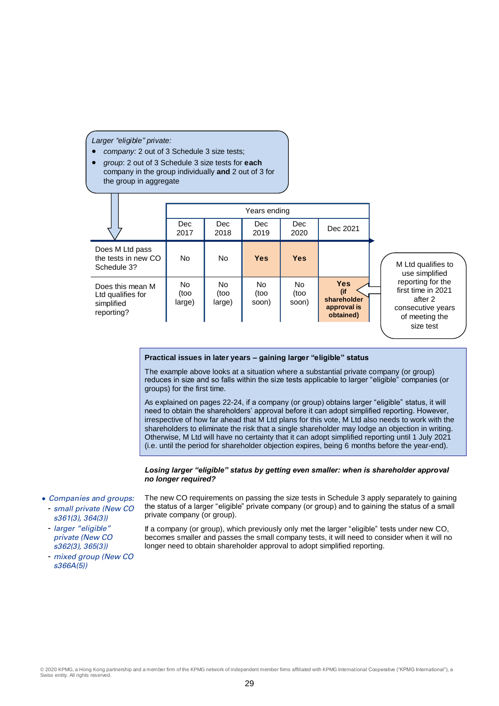*Larger "eligible" private:*

- *company:* 2 out of 3 Schedule 3 size tests;
- *group*: 2 out of 3 Schedule 3 size tests for **each** company in the group individually **and** 2 out of 3 for the group in aggregate

#### **Practical issues in later years – gaining larger "eligible" status**

The example above looks at a situation where a substantial private company (or group) reduces in size and so falls within the size tests applicable to larger "eligible" companies (or groups) for the first time.

As explained on pages 22-24, if a company (or group) obtains larger "eligible" status, it will need to obtain the shareholders' approval before it can adopt simplified reporting. However, irrespective of how far ahead that M Ltd plans for this vote, M Ltd also needs to work with the shareholders to eliminate the risk that a single shareholder may lodge an objection in writing. Otherwise, M Ltd will have no certainty that it can adopt simplified reporting until 1 July 2021 (i.e. until the period for shareholder objection expires, being 6 months before the year-end).

#### *Losing larger "eligible" status by getting even smaller: when is shareholder approval no longer required?*

- Companies and groups: - small private (New CO s361(3), 364(3))
	- larger "eligible" private (New CO s362(3), 365(3))
	- mixed group (New CO s366A(5))

The new CO requirements on passing the size tests in Schedule 3 apply separately to gaining the status of a larger "eligible" private company (or group) and to gaining the status of a small private company (or group).

If a company (or group), which previously only met the larger "eligible" tests under new CO, becomes smaller and passes the small company tests, it will need to consider when it will no longer need to obtain shareholder approval to adopt simplified reporting.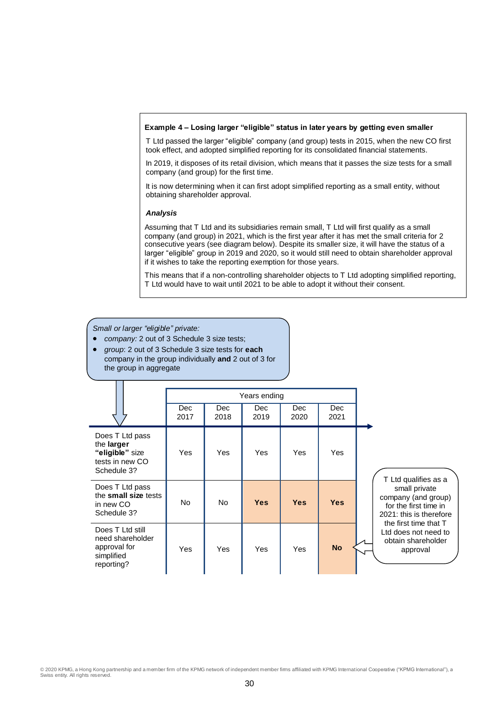#### **Example 4 – Losing larger "eligible" status in later years by getting even smaller**

T Ltd passed the larger "eligible" company (and group) tests in 2015, when the new CO first took effect, and adopted simplified reporting for its consolidated financial statements.

In 2019, it disposes of its retail division, which means that it passes the size tests for a small company (and group) for the first time.

It is now determining when it can first adopt simplified reporting as a small entity, without obtaining shareholder approval.

#### *Analysis*

Assuming that T Ltd and its subsidiaries remain small, T Ltd will first qualify as a small company (and group) in 2021, which is the first year after it has met the small criteria for 2 consecutive years (see diagram below). Despite its smaller size, it will have the status of a larger "eligible" group in 2019 and 2020, so it would still need to obtain shareholder approval if it wishes to take the reporting exemption for those years.

This means that if a non-controlling shareholder objects to T Ltd adopting simplified reporting, T Ltd would have to wait until 2021 to be able to adopt it without their consent.

#### *Small or larger "eligible" private:*

*company:* 2 out of 3 Schedule 3 size tests;

 *group*: 2 out of 3 Schedule 3 size tests for **each** company in the group individually **and** 2 out of 3 for the group in aggregate

|                                                                                    |                    | Years ending       |             |                    |             |                                                                                          |
|------------------------------------------------------------------------------------|--------------------|--------------------|-------------|--------------------|-------------|------------------------------------------------------------------------------------------|
|                                                                                    | <b>Dec</b><br>2017 | <b>Dec</b><br>2018 | Dec<br>2019 | <b>Dec</b><br>2020 | Dec<br>2021 |                                                                                          |
| Does T Ltd pass<br>the larger<br>"eligible" size<br>tests in new CO<br>Schedule 3? | Yes                | Yes                | Yes         | Yes                | Yes         | T Ltd qualifies as a                                                                     |
| Does T Ltd pass<br>the small size tests<br>in new CO<br>Schedule 3?                | No.                | No.                | <b>Yes</b>  | <b>Yes</b>         | <b>Yes</b>  | small private<br>company (and group)<br>for the first time in<br>2021: this is therefore |
| Does T Ltd still<br>need shareholder<br>approval for<br>simplified<br>reporting?   | Yes                | <b>Yes</b>         | Yes         | <b>Yes</b>         | <b>No</b>   | the first time that T<br>Ltd does not need to<br>obtain shareholder<br>approval          |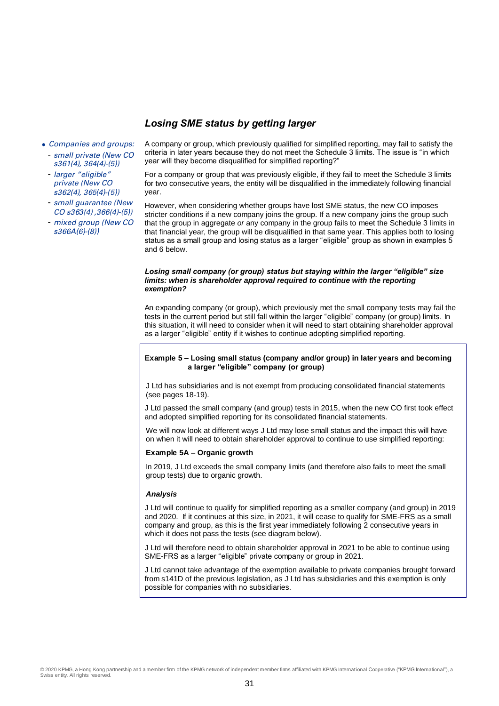### *Losing SME status by getting larger*

- Companies and groups:
	- small private (New CO s361(4), 364(4)-(5))
	- larger "eligible" private (New CO s362(4), 365(4)-(5))
	- small guarantee (New CO s363(4) ,366(4)-(5))
	- mixed group (New CO s366A(6)-(8))

A company or group, which previously qualified for simplified reporting, may fail to satisfy the criteria in later years because they do not meet the Schedule 3 limits. The issue is "in which year will they become disqualified for simplified reporting?"

For a company or group that was previously eligible, if they fail to meet the Schedule 3 limits for two consecutive years, the entity will be disqualified in the immediately following financial year.

However, when considering whether groups have lost SME status, the new CO imposes stricter conditions if a new company joins the group. If a new company joins the group such that the group in aggregate *or* any company in the group fails to meet the Schedule 3 limits in that financial year, the group will be disqualified in that same year. This applies both to losing status as a small group and losing status as a larger "eligible" group as shown in examples 5 and 6 below.

#### *Losing small company (or group) status but staying within the larger "eligible" size limits: when is shareholder approval required to continue with the reporting exemption?*

An expanding company (or group), which previously met the small company tests may fail the tests in the current period but still fall within the larger "eligible" company (or group) limits. In this situation, it will need to consider when it will need to start obtaining shareholder approval as a larger "eligible" entity if it wishes to continue adopting simplified reporting.

#### **Example 5 – Losing small status (company and/or group) in later years and becoming a larger "eligible" company (or group)**

J Ltd has subsidiaries and is not exempt from producing consolidated financial statements (see pages 18-19).

J Ltd passed the small company (and group) tests in 2015, when the new CO first took effect and adopted simplified reporting for its consolidated financial statements.

We will now look at different ways J Ltd may lose small status and the impact this will have on when it will need to obtain shareholder approval to continue to use simplified reporting:

#### **Example 5A – Organic growth**

In 2019, J Ltd exceeds the small company limits (and therefore also fails to meet the small group tests) due to organic growth.

#### *Analysis*

J Ltd will continue to qualify for simplified reporting as a smaller company (and group) in 2019 and 2020. If it continues at this size, in 2021, it will cease to qualify for SME-FRS as a small company and group, as this is the first year immediately following 2 consecutive years in which it does not pass the tests (see diagram below).

J Ltd will therefore need to obtain shareholder approval in 2021 to be able to continue using SME-FRS as a larger "eligible" private company or group in 2021.

J Ltd cannot take advantage of the exemption available to private companies brought forward from s141D of the previous legislation, as J Ltd has subsidiaries and this exemption is only possible for companies with no subsidiaries.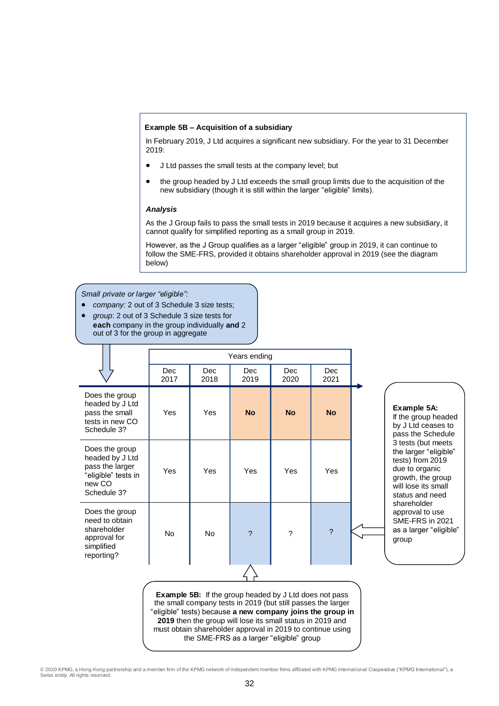#### **Example 5B – Acquisition of a subsidiary**

In February 2019, J Ltd acquires a significant new subsidiary. For the year to 31 December 2019:

- J Ltd passes the small tests at the company level; but
- the group headed by J Ltd exceeds the small group limits due to the acquisition of the new subsidiary (though it is still within the larger "eligible" limits).

#### *Analysis*

As the J Group fails to pass the small tests in 2019 because it acquires a new subsidiary, it cannot qualify for simplified reporting as a small group in 2019.

However, as the J Group qualifies as a larger "eligible" group in 2019, it can continue to follow the SME-FRS, provided it obtains shareholder approval in 2019 (see the diagram below)

- *Small private or larger "eligible":*
- *company:* 2 out of 3 Schedule 3 size tests;
- *group*: 2 out of 3 Schedule 3 size tests for
- **each** company in the group individually **and** 2 out of 3 for the group in aggregate

|                                                                                                      | Years ending |             |             |             |             |  |
|------------------------------------------------------------------------------------------------------|--------------|-------------|-------------|-------------|-------------|--|
|                                                                                                      | Dec<br>2017  | Dec<br>2018 | Dec<br>2019 | Dec<br>2020 | Dec<br>2021 |  |
| Does the group<br>headed by J Ltd<br>pass the small<br>tests in new CO<br>Schedule 3?                | Yes          | Yes         | <b>No</b>   | <b>No</b>   | <b>No</b>   |  |
| Does the group<br>headed by J Ltd<br>pass the larger<br>"eligible" tests in<br>new CO<br>Schedule 3? | Yes          | Yes         | Yes         | Yes         | Yes         |  |
| Does the group<br>need to obtain<br>shareholder<br>approval for<br>simplified<br>reporting?          | <b>No</b>    | <b>No</b>   | 2           | ?           | $\gamma$    |  |
|                                                                                                      |              |             |             |             |             |  |

**Example 5A:**

If the group headed by J Ltd ceases to pass the Schedule 3 tests (but meets the larger "eligible" tests) from 2019 due to organic growth, the group will lose its small status and need shareholder approval to use SME-FRS in 2021 as a larger "eligible" group

**Example 5B:** If the group headed by J Ltd does not pass the small company tests in 2019 (but still passes the larger "eligible" tests) because **a new company joins the group in 2019** then the group will lose its small status in 2019 and must obtain shareholder approval in 2019 to continue using the SME-FRS as a larger "eligible" group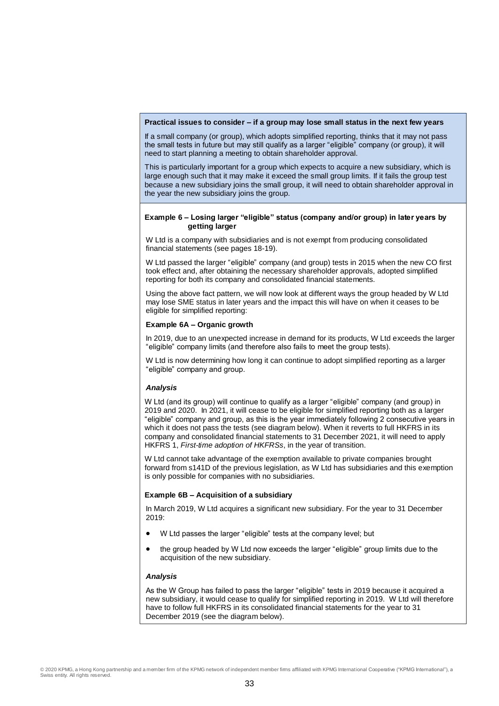#### **Practical issues to consider – if a group may lose small status in the next few years**

If a small company (or group), which adopts simplified reporting, thinks that it may not pass the small tests in future but may still qualify as a larger "eligible" company (or group), it will need to start planning a meeting to obtain shareholder approval.

This is particularly important for a group which expects to acquire a new subsidiary, which is large enough such that it may make it exceed the small group limits. If it fails the group test because a new subsidiary joins the small group, it will need to obtain shareholder approval in the year the new subsidiary joins the group.

#### **Example 6 – Losing larger "eligible" status (company and/or group) in later years by getting larger**

W Ltd is a company with subsidiaries and is not exempt from producing consolidated financial statements (see pages 18-19).

W Ltd passed the larger "eligible" company (and group) tests in 2015 when the new CO first took effect and, after obtaining the necessary shareholder approvals, adopted simplified reporting for both its company and consolidated financial statements.

Using the above fact pattern, we will now look at different ways the group headed by W Ltd may lose SME status in later years and the impact this will have on when it ceases to be eligible for simplified reporting:

#### **Example 6A – Organic growth**

In 2019, due to an unexpected increase in demand for its products, W Ltd exceeds the larger "eligible" company limits (and therefore also fails to meet the group tests).

W Ltd is now determining how long it can continue to adopt simplified reporting as a larger "eligible" company and group.

#### *Analysis*

W Ltd (and its group) will continue to qualify as a larger "eligible" company (and group) in 2019 and 2020. In 2021, it will cease to be eligible for simplified reporting both as a larger "eligible" company and group, as this is the year immediately following 2 consecutive years in which it does not pass the tests (see diagram below). When it reverts to full HKFRS in its company and consolidated financial statements to 31 December 2021, it will need to apply HKFRS 1, *First-time adoption of HKFRSs*, in the year of transition.

W Ltd cannot take advantage of the exemption available to private companies brought forward from s141D of the previous legislation, as W Ltd has subsidiaries and this exemption is only possible for companies with no subsidiaries.

#### **Example 6B – Acquisition of a subsidiary**

In March 2019, W Ltd acquires a significant new subsidiary. For the year to 31 December 2019:

- W Ltd passes the larger "eligible" tests at the company level; but
- the group headed by W Ltd now exceeds the larger "eligible" group limits due to the acquisition of the new subsidiary.

#### *Analysis*

As the W Group has failed to pass the larger "eligible" tests in 2019 because it acquired a new subsidiary, it would cease to qualify for simplified reporting in 2019. W Ltd will therefore have to follow full HKFRS in its consolidated financial statements for the year to 31 December 2019 (see the diagram below).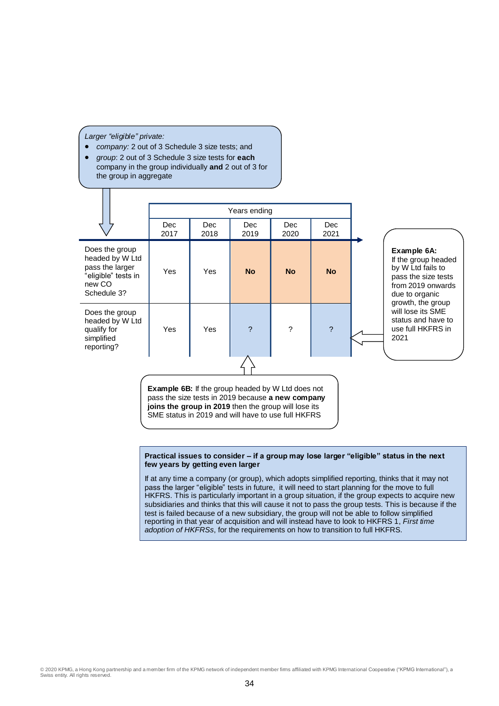*Larger "eligible" private:*

 $\overline{\Box}$ 

- *company:* 2 out of 3 Schedule 3 size tests; and
- *group*: 2 out of 3 Schedule 3 size tests for **each** company in the group individually **and** 2 out of 3 for the group in aggregate

|                                                                                                      | Years ending                                                                                                                                                          |              |             |                          |                    |                                                                                                                       |
|------------------------------------------------------------------------------------------------------|-----------------------------------------------------------------------------------------------------------------------------------------------------------------------|--------------|-------------|--------------------------|--------------------|-----------------------------------------------------------------------------------------------------------------------|
|                                                                                                      | Dec.<br>2017                                                                                                                                                          | Dec.<br>2018 | Dec<br>2019 | Dec<br>2020              | <b>Dec</b><br>2021 |                                                                                                                       |
| Does the group<br>headed by W Ltd<br>pass the larger<br>"eligible" tests in<br>new CO<br>Schedule 3? | Yes                                                                                                                                                                   | Yes          | <b>No</b>   | <b>No</b>                | <b>No</b>          | Example 6A:<br>If the group headed<br>by W Ltd fails to<br>pass the size tests<br>from 2019 onwards<br>due to organic |
| Does the group<br>headed by W Ltd<br>qualify for<br>simplified<br>reporting?                         | Yes                                                                                                                                                                   | Yes          | 2           | $\overline{\phantom{0}}$ | $\overline{?}$     | growth, the group<br>will lose its SME<br>status and have to<br>use full HKFRS in<br>2021                             |
|                                                                                                      | <b>Example 6B:</b> If the group headed by W Ltd does not<br>pass the size tests in 2019 because a new company<br>joins the aroun in 2019 then the aroun will lose its |              |             |                          |                    |                                                                                                                       |

**joins the group in 2019** then the group will lose its SME status in 2019 and will have to use full HKFRS

#### **Practical issues to consider – if a group may lose larger "eligible" status in the next few years by getting even larger**

If at any time a company (or group), which adopts simplified reporting, thinks that it may not pass the larger "eligible" tests in future, it will need to start planning for the move to full HKFRS. This is particularly important in a group situation, if the group expects to acquire new subsidiaries and thinks that this will cause it not to pass the group tests. This is because if the test is failed because of a new subsidiary, the group will not be able to follow simplified reporting in that year of acquisition and will instead have to look to HKFRS 1, *First time adoption of HKFRSs*, for the requirements on how to transition to full HKFRS.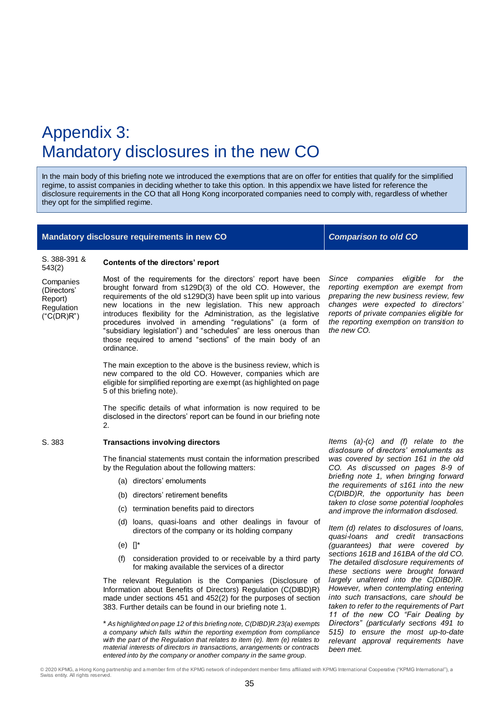# Appendix 3: Mandatory disclosures in the new CO

In the main body of this briefing note we introduced the exemptions that are on offer for entities that qualify for the simplified regime, to assist companies in deciding whether to take this option. In this appendix we have listed for reference the disclosure requirements in the CO that all Hong Kong incorporated companies need to comply with, regardless of whether they opt for the simplified regime.

#### **Mandatory disclosure requirements in new CO** *Comparison to old CO*

**Contents of the directors' report** 

S. 388-391 & 543(2) **Companies** (Directors' Report) Regulation  $($ "C $(DR)R"$ )

Most of the requirements for the directors' report have been brought forward from s129D(3) of the old CO. However, the requirements of the old s129D(3) have been split up into various new locations in the new legislation. This new approach introduces flexibility for the Administration, as the legislative procedures involved in amending "regulations" (a form of "subsidiary legislation") and "schedules" are less onerous than those required to amend "sections" of the main body of an ordinance.

The main exception to the above is the business review, which is new compared to the old CO. However, companies which are eligible for simplified reporting are exempt (as highlighted on page 5 of this briefing note).

The specific details of what information is now required to be disclosed in the directors' report can be found in our briefing note 2.

#### S. 383 **Transactions involving directors**

The financial statements must contain the information prescribed by the Regulation about the following matters:

- (a) directors' emoluments
- (b) directors' retirement benefits
- (c) termination benefits paid to directors
- (d) loans, quasi-loans and other dealings in favour of directors of the company or its holding company
- (e) []\*
- (f) consideration provided to or receivable by a third party for making available the services of a director

The relevant Regulation is the Companies (Disclosure of Information about Benefits of Directors) Regulation (C(DIBD)R) made under sections 451 and 452(2) for the purposes of section 383. Further details can be found in our briefing note 1.

*with the part of the Regulation that relates to item (e). Item (e) relates to material interests of directors in transactions, arrangements or contracts entered into by the company or another company in the same group.*

*Items (a)-(c) and (f) relate to the disclosure of directors' emoluments as was covered by section 161 in the old CO. As discussed on pages 8-9 of briefing note 1, when bringing forward the requirements of s161 into the new C(DIBD)R, the opportunity has been taken to close some potential loopholes and improve the information disclosed.* 

*Item (d) relates to disclosures of loans, quasi-loans and credit transactions (guarantees) that were covered by sections 161B and 161BA of the old CO. The detailed disclosure requirements of these sections were brought forward largely unaltered into the C(DIBD)R. However, when contemplating entering into such transactions, care should be taken to refer to the requirements of Part 11 of the new CO "Fair Dealing by Directors" (particularly sections 491 to 515) to ensure the most up-to-date relevant approval requirements have been met.*

#### *Since companies eligible for the reporting exemption are exempt from preparing the new business review, few changes were expected to directors' reports of private companies eligible for the reporting exemption on transition to the new CO.*

© 2020 KPMG, a Hong Kong partnership and a member firm of the KPMG network of independent member firms affiliated with KPMG International Cooperative ("KPMG International"), a<br>Swiss entity. All rights reserved.